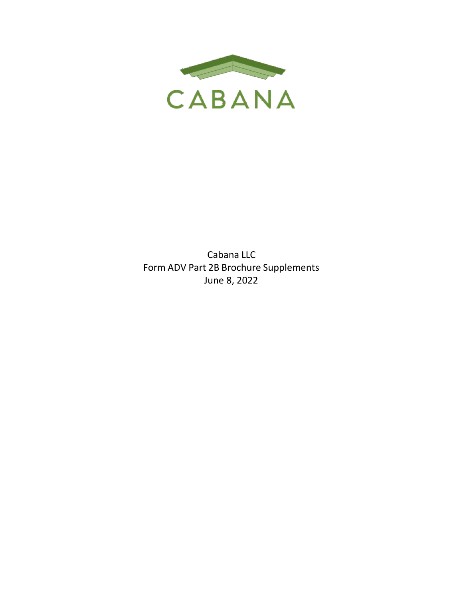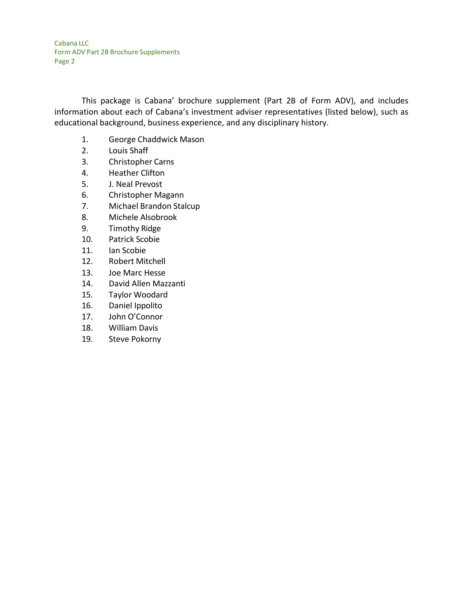This package is Cabana' brochure supplement (Part 2B of Form ADV), and includes information about each of Cabana's investment adviser representatives (listed below), such as educational background, business experience, and any disciplinary history.

- 1. George Chaddwick Mason
- 2. Louis Shaff
- 3. Christopher Carns
- 4. Heather Clifton
- 5. J. Neal Prevost
- 6. Christopher Magann
- 7. Michael Brandon Stalcup
- 8. Michele Alsobrook
- 9. Timothy Ridge
- 10. Patrick Scobie
- 11. Ian Scobie
- 12. Robert Mitchell
- 13. Joe Marc Hesse
- 14. David Allen Mazzanti
- 15. Taylor Woodard
- 16. Daniel Ippolito
- 17. John O'Connor
- 18. William Davis
- 19. Steve Pokorny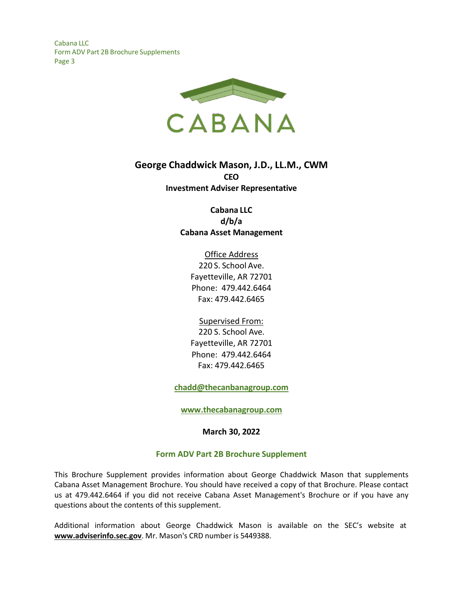

# **George Chaddwick Mason, J.D., LL.M., CWM CEO Investment Adviser Representative**

## **Cabana LLC d/b/a Cabana Asset Management**

Office Address 220 S. School Ave. Fayetteville, AR 72701 Phone: 479.442.6464 Fax: 479.442.6465

Supervised From: 220 S. School Ave. Fayetteville, AR 72701 Phone: 479.442.6464 Fax: 479.442.6465

**[chadd@thecanbanagroup.com](mailto:chadd@thecanbanagroup.com)**

**[www.thecabanagroup.com](http://www.thecabanagroup.com/)**

**March 30, 2022**

#### **Form ADV Part 2B Brochure Supplement**

This Brochure Supplement provides information about George Chaddwick Mason that supplements Cabana Asset Management Brochure. You should have received a copy of that Brochure. Please contact us at 479.442.6464 if you did not receive Cabana Asset Management's Brochure or if you have any questions about the contents of this supplement.

Additional information about George Chaddwick Mason is available on the SEC's website at **[www.adviserinfo.sec.gov](http://www.adviserinfo.sec.gov/)**. Mr. Mason's CRD number is 5449388.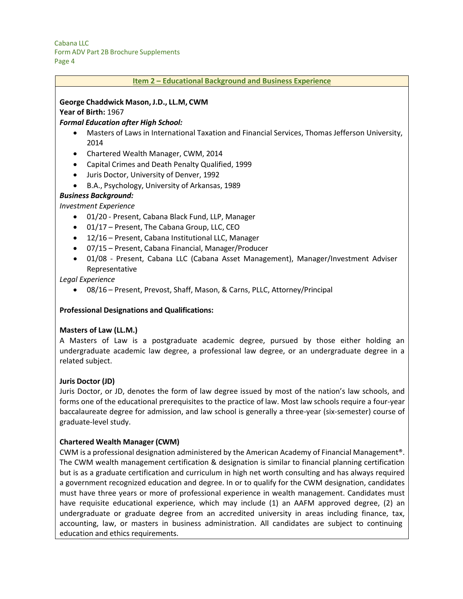| Item 2 - Educational Background and Business Experience                                                     |
|-------------------------------------------------------------------------------------------------------------|
|                                                                                                             |
| George Chaddwick Mason, J.D., LL.M, CWM                                                                     |
| Year of Birth: 1967                                                                                         |
| <b>Formal Education after High School:</b>                                                                  |
| Masters of Laws in International Taxation and Financial Services, Thomas Jefferson University,<br>$\bullet$ |
| 2014                                                                                                        |
| Chartered Wealth Manager, CWM, 2014<br>$\bullet$                                                            |
| Capital Crimes and Death Penalty Qualified, 1999<br>$\bullet$                                               |
| Juris Doctor, University of Denver, 1992<br>$\bullet$                                                       |
| B.A., Psychology, University of Arkansas, 1989<br>$\bullet$                                                 |
| <b>Business Background:</b>                                                                                 |
| <b>Investment Experience</b>                                                                                |
| 01/20 - Present, Cabana Black Fund, LLP, Manager<br>$\bullet$                                               |
| 01/17 - Present, The Cabana Group, LLC, CEO<br>$\bullet$                                                    |
| 12/16 - Present, Cabana Institutional LLC, Manager<br>$\bullet$                                             |
| 07/15 - Present, Cabana Financial, Manager/Producer<br>٠                                                    |
| 01/08 - Present, Cabana LLC (Cabana Asset Management), Manager/Investment Adviser<br>$\bullet$              |
| Representative                                                                                              |
| Legal Experience                                                                                            |

*Legal Experience*

• 08/16 – Present, Prevost, Shaff, Mason, & Carns, PLLC, Attorney/Principal

#### **Professional Designations and Qualifications:**

#### **Masters of Law (LL.M.)**

A Masters of Law is a postgraduate academic degree, pursued by those either holding an undergraduate academic law degree, a professional law degree, or an undergraduate degree in a related subject.

#### **Juris Doctor (JD)**

Juris Doctor, or JD, denotes the form of law degree issued by most of the nation's law schools, and forms one of the educational prerequisites to the practice of law. Most law schools require a four-year baccalaureate degree for admission, and law school is generally a three-year (six-semester) course of graduate-level study.

#### **Chartered Wealth Manager (CWM)**

CWM is a professional designation administered by the American Academy of Financial Management®. The CWM wealth management certification & designation is similar to financial planning certification but is as a graduate certification and curriculum in high net worth consulting and has always required a government recognized education and degree. In or to qualify for the CWM designation, candidates must have three years or more of professional experience in wealth management. Candidates must have requisite educational experience, which may include (1) an AAFM approved degree, (2) an undergraduate or graduate degree from an accredited university in areas including finance, tax, accounting, law, or masters in business administration. All candidates are subject to continuing education and ethics requirements.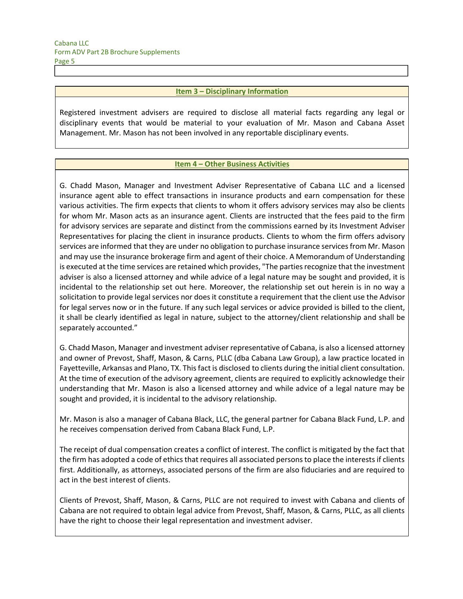#### **Item 3 – Disciplinary Information**

Registered investment advisers are required to disclose all material facts regarding any legal or disciplinary events that would be material to your evaluation of Mr. Mason and Cabana Asset Management. Mr. Mason has not been involved in any reportable disciplinary events.

#### **Item 4 – Other Business Activities**

G. Chadd Mason, Manager and Investment Adviser Representative of Cabana LLC and a licensed insurance agent able to effect transactions in insurance products and earn compensation for these various activities. The firm expects that clients to whom it offers advisory services may also be clients for whom Mr. Mason acts as an insurance agent. Clients are instructed that the fees paid to the firm for advisory services are separate and distinct from the commissions earned by its Investment Adviser Representatives for placing the client in insurance products. Clients to whom the firm offers advisory services are informed that they are under no obligation to purchase insurance services from Mr. Mason and may use the insurance brokerage firm and agent of their choice. A Memorandum of Understanding is executed at the time services are retained which provides, "The parties recognize that the investment adviser is also a licensed attorney and while advice of a legal nature may be sought and provided, it is incidental to the relationship set out here. Moreover, the relationship set out herein is in no way a solicitation to provide legal services nor does it constitute a requirement that the client use the Advisor for legal serves now or in the future. If any such legal services or advice provided is billed to the client, it shall be clearly identified as legal in nature, subject to the attorney/client relationship and shall be separately accounted."

G. Chadd Mason, Manager and investment adviser representative of Cabana, is also a licensed attorney and owner of Prevost, Shaff, Mason, & Carns, PLLC (dba Cabana Law Group), a law practice located in Fayetteville, Arkansas and Plano, TX. Thisfact is disclosed to clients during the initial client consultation. At the time of execution of the advisory agreement, clients are required to explicitly acknowledge their understanding that Mr. Mason is also a licensed attorney and while advice of a legal nature may be sought and provided, it is incidental to the advisory relationship.

Mr. Mason is also a manager of Cabana Black, LLC, the general partner for Cabana Black Fund, L.P. and he receives compensation derived from Cabana Black Fund, L.P.

The receipt of dual compensation creates a conflict of interest. The conflict is mitigated by the fact that the firm has adopted a code of ethics that requires all associated persons to place the interests if clients first. Additionally, as attorneys, associated persons of the firm are also fiduciaries and are required to act in the best interest of clients.

Clients of Prevost, Shaff, Mason, & Carns, PLLC are not required to invest with Cabana and clients of Cabana are not required to obtain legal advice from Prevost, Shaff, Mason, & Carns, PLLC, as all clients have the right to choose their legal representation and investment adviser.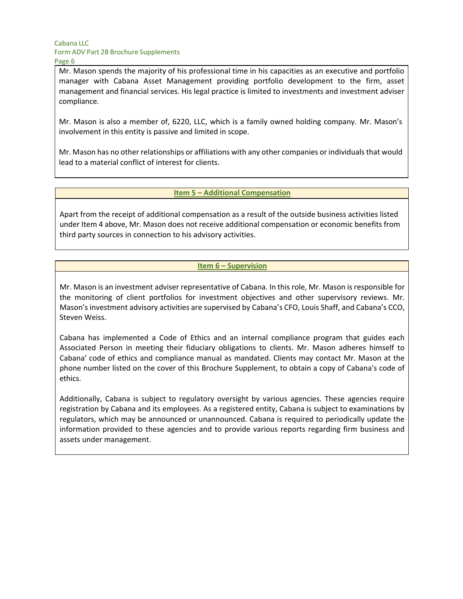Mr. Mason spends the majority of his professional time in his capacities as an executive and portfolio manager with Cabana Asset Management providing portfolio development to the firm, asset management and financial services. His legal practice is limited to investments and investment adviser compliance.

Mr. Mason is also a member of, 6220, LLC, which is a family owned holding company. Mr. Mason's involvement in this entity is passive and limited in scope.

Mr. Mason has no other relationships or affiliations with any other companies or individualsthat would lead to a material conflict of interest for clients.

#### **Item 5 – Additional Compensation**

Apart from the receipt of additional compensation as a result of the outside business activities listed under Item 4 above, Mr. Mason does not receive additional compensation or economic benefits from third party sources in connection to his advisory activities.

#### **Item 6 – Supervision**

Mr. Mason is an investment adviser representative of Cabana. In this role, Mr. Mason is responsible for the monitoring of client portfolios for investment objectives and other supervisory reviews. Mr. Mason'sinvestment advisory activities are supervised by Cabana's CFO, Louis Shaff, and Cabana's CCO, Steven Weiss.

Cabana has implemented a Code of Ethics and an internal compliance program that guides each Associated Person in meeting their fiduciary obligations to clients. Mr. Mason adheres himself to Cabana' code of ethics and compliance manual as mandated. Clients may contact Mr. Mason at the phone number listed on the cover of this Brochure Supplement, to obtain a copy of Cabana's code of ethics.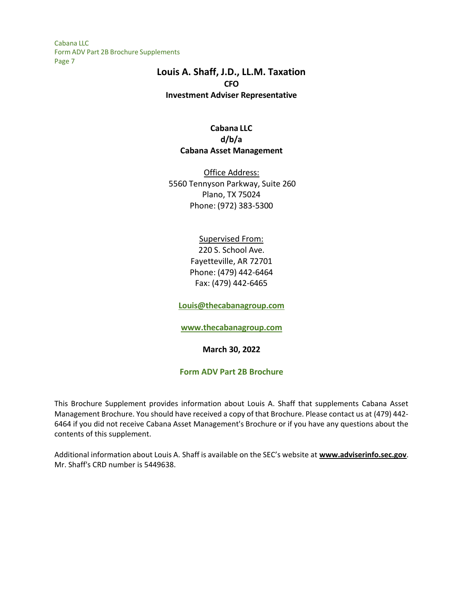## **Louis A. Shaff, J.D., LL.M. Taxation CFO Investment Adviser Representative**

## **Cabana LLC d/b/a Cabana Asset Management**

Office Address: 5560 Tennyson Parkway, Suite 260 Plano, TX 75024 Phone: (972) 383-5300

## Supervised From:

220 S. School Ave. Fayetteville, AR 72701 Phone: (479) 442-6464 Fax: (479) 442-6465

**[Louis@thecabanagroup.com](mailto:Louis@thecabanagroup.com)**

**[www.thecabanagroup.com](http://www.thecabanagroup.com/)**

**March 30, 2022**

## **Form ADV Part 2B Brochure**

This Brochure Supplement provides information about Louis A. Shaff that supplements Cabana Asset Management Brochure. You should have received a copy of that Brochure. Please contact us at (479) 442- 6464 if you did not receive Cabana Asset Management's Brochure or if you have any questions about the contents of this supplement.

Additional information about Louis A. Shaff is available on the SEC's website at **[www.adviserinfo.sec.gov](http://www.adviserinfo.sec.gov/)**. Mr. Shaff's CRD number is 5449638.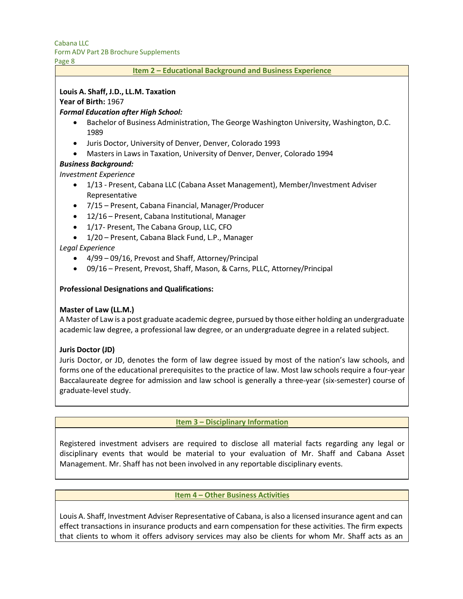# Cabana LLC

Form ADV Part 2B Brochure Supplements

Page 8

## **Item 2 – Educational Background and Business Experience**

## **Louis A. Shaff, J.D., LL.M. Taxation**

**Year of Birth:** 1967

### *Formal Education after High School:*

- Bachelor of Business Administration, The George Washington University, Washington, D.C. 1989
- Juris Doctor, University of Denver, Denver, Colorado 1993
- Masters in Laws in Taxation, University of Denver, Denver, Colorado 1994

### *Business Background:*

*Investment Experience*

- 1/13 Present, Cabana LLC (Cabana Asset Management), Member/Investment Adviser Representative
- 7/15 Present, Cabana Financial, Manager/Producer
- 12/16 Present, Cabana Institutional, Manager
- 1/17- Present, The Cabana Group, LLC, CFO
- 1/20 Present, Cabana Black Fund, L.P., Manager

### *Legal Experience*

- 4/99 09/16, Prevost and Shaff, Attorney/Principal
- 09/16 Present, Prevost, Shaff, Mason, & Carns, PLLC, Attorney/Principal

#### **Professional Designations and Qualifications:**

#### **Master of Law (LL.M.)**

A Master of Law is a post graduate academic degree, pursued by those either holding an undergraduate academic law degree, a professional law degree, or an undergraduate degree in a related subject.

#### **Juris Doctor (JD)**

Juris Doctor, or JD, denotes the form of law degree issued by most of the nation's law schools, and forms one of the educational prerequisites to the practice of law. Most law schools require a four-year Baccalaureate degree for admission and law school is generally a three-year (six-semester) course of graduate-level study.

#### **Item 3 – Disciplinary Information**

Registered investment advisers are required to disclose all material facts regarding any legal or disciplinary events that would be material to your evaluation of Mr. Shaff and Cabana Asset Management. Mr. Shaff has not been involved in any reportable disciplinary events.

#### **Item 4 – Other Business Activities**

Louis A. Shaff, Investment Adviser Representative of Cabana, is also a licensed insurance agent and can effect transactions in insurance products and earn compensation for these activities. The firm expects that clients to whom it offers advisory services may also be clients for whom Mr. Shaff acts as an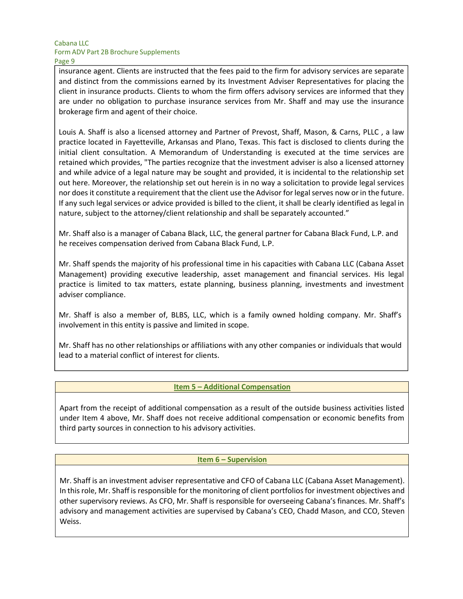insurance agent. Clients are instructed that the fees paid to the firm for advisory services are separate and distinct from the commissions earned by its Investment Adviser Representatives for placing the client in insurance products. Clients to whom the firm offers advisory services are informed that they are under no obligation to purchase insurance services from Mr. Shaff and may use the insurance brokerage firm and agent of their choice.

Louis A. Shaff is also a licensed attorney and Partner of Prevost, Shaff, Mason, & Carns, PLLC , a law practice located in Fayetteville, Arkansas and Plano, Texas. This fact is disclosed to clients during the initial client consultation. A Memorandum of Understanding is executed at the time services are retained which provides, "The parties recognize that the investment adviser is also a licensed attorney and while advice of a legal nature may be sought and provided, it is incidental to the relationship set out here. Moreover, the relationship set out herein is in no way a solicitation to provide legal services nor does it constitute a requirement that the client use the Advisor for legal serves now or in the future. If any such legal services or advice provided is billed to the client, it shall be clearly identified as legal in nature, subject to the attorney/client relationship and shall be separately accounted."

Mr. Shaff also is a manager of Cabana Black, LLC, the general partner for Cabana Black Fund, L.P. and he receives compensation derived from Cabana Black Fund, L.P.

Mr. Shaff spends the majority of his professional time in his capacities with Cabana LLC (Cabana Asset Management) providing executive leadership, asset management and financial services. His legal practice is limited to tax matters, estate planning, business planning, investments and investment adviser compliance.

Mr. Shaff is also a member of, BLBS, LLC, which is a family owned holding company. Mr. Shaff's involvement in this entity is passive and limited in scope.

Mr. Shaff has no other relationships or affiliations with any other companies or individuals that would lead to a material conflict of interest for clients.

#### **Item 5 – Additional Compensation**

Apart from the receipt of additional compensation as a result of the outside business activities listed under Item 4 above, Mr. Shaff does not receive additional compensation or economic benefits from third party sources in connection to his advisory activities.

#### **Item 6 – Supervision**

Mr. Shaff is an investment adviser representative and CFO of Cabana LLC (Cabana Asset Management). In this role, Mr. Shaff is responsible for the monitoring of client portfolios for investment objectives and other supervisory reviews. As CFO, Mr. Shaff is responsible for overseeing Cabana's finances. Mr. Shaff's advisory and management activities are supervised by Cabana's CEO, Chadd Mason, and CCO, Steven Weiss.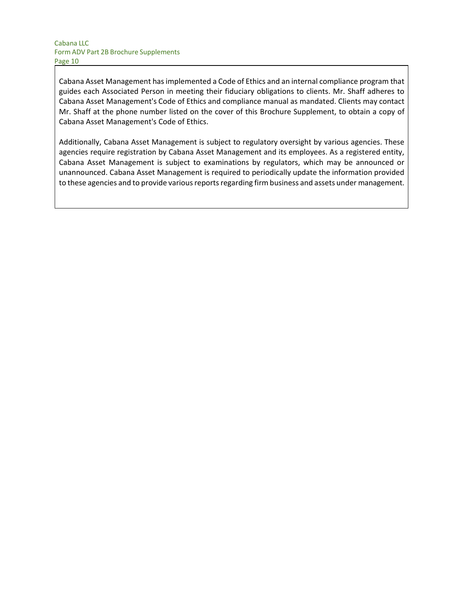Cabana Asset Management hasimplemented a Code of Ethics and an internal compliance program that guides each Associated Person in meeting their fiduciary obligations to clients. Mr. Shaff adheres to Cabana Asset Management's Code of Ethics and compliance manual as mandated. Clients may contact Mr. Shaff at the phone number listed on the cover of this Brochure Supplement, to obtain a copy of Cabana Asset Management's Code of Ethics.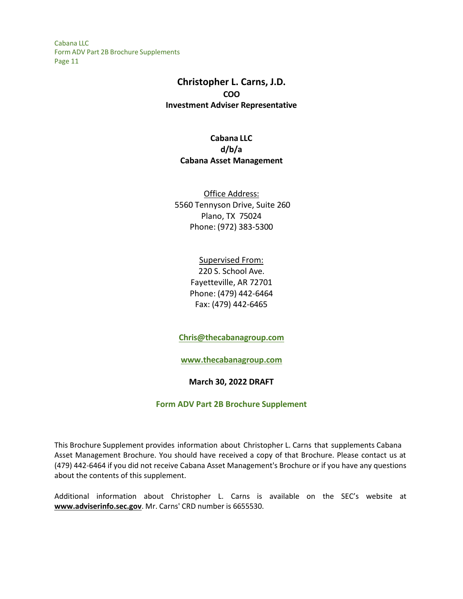# **Christopher L. Carns, J.D. COO Investment Adviser Representative**

**Cabana LLC d/b/a Cabana Asset Management**

Office Address: 5560 Tennyson Drive, Suite 260 Plano, TX 75024 Phone: (972) 383-5300

> Supervised From: 220 S. School Ave. Fayetteville, AR 72701 Phone: (479) 442-6464 Fax: (479) 442-6465

**[Chris@thecabanagroup.com](mailto:Chris@thecabanagroup.com)**

**[www.thecabanagroup.com](http://www.thecabanagroup.com/)**

**March 30, 2022 DRAFT**

**Form ADV Part 2B Brochure Supplement**

This Brochure Supplement provides information about Christopher L. Carns that supplements Cabana Asset Management Brochure. You should have received a copy of that Brochure. Please contact us at (479) 442-6464 if you did not receive Cabana Asset Management's Brochure or if you have any questions about the contents of this supplement.

Additional information about Christopher L. Carns is available on the SEC's website at **[www.adviserinfo.sec.gov](http://www.adviserinfo.sec.gov/)**. Mr. Carns' CRD number is 6655530.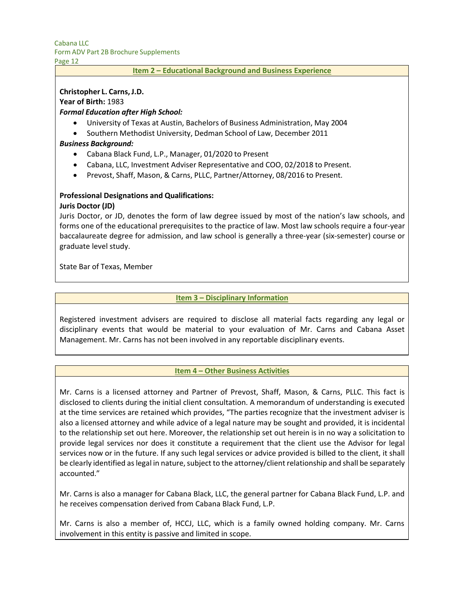Page 12

#### **Item 2 – Educational Background and Business Experience**

#### **Christopher L. Carns,J.D.**

**Year of Birth:** 1983

#### *Formal Education after High School:*

- University of Texas at Austin, Bachelors of Business Administration, May 2004
- Southern Methodist University, Dedman School of Law, December 2011

#### *Business Background:*

- Cabana Black Fund, L.P., Manager, 01/2020 to Present
- Cabana, LLC, Investment Adviser Representative and COO, 02/2018 to Present.
- Prevost, Shaff, Mason, & Carns, PLLC, Partner/Attorney, 08/2016 to Present.

#### **Professional Designations and Qualifications: Juris Doctor (JD)**

Juris Doctor, or JD, denotes the form of law degree issued by most of the nation's law schools, and forms one of the educational prerequisites to the practice of law. Most law schools require a four-year baccalaureate degree for admission, and law school is generally a three-year (six-semester) course or graduate level study.

State Bar of Texas, Member

### **Item 3 – Disciplinary Information**

Registered investment advisers are required to disclose all material facts regarding any legal or disciplinary events that would be material to your evaluation of Mr. Carns and Cabana Asset Management. Mr. Carns has not been involved in any reportable disciplinary events.

#### **Item 4 – Other Business Activities**

Mr. Carns is a licensed attorney and Partner of Prevost, Shaff, Mason, & Carns, PLLC. This fact is disclosed to clients during the initial client consultation. A memorandum of understanding is executed at the time services are retained which provides, "The parties recognize that the investment adviser is also a licensed attorney and while advice of a legal nature may be sought and provided, it is incidental to the relationship set out here. Moreover, the relationship set out herein is in no way a solicitation to provide legal services nor does it constitute a requirement that the client use the Advisor for legal services now or in the future. If any such legal services or advice provided is billed to the client, it shall be clearly identified as legal in nature, subject to the attorney/client relationship and shall be separately accounted."

Mr. Carns is also a manager for Cabana Black, LLC, the general partner for Cabana Black Fund, L.P. and he receives compensation derived from Cabana Black Fund, L.P.

Mr. Carns is also a member of, HCCJ, LLC, which is a family owned holding company. Mr. Carns involvement in this entity is passive and limited in scope.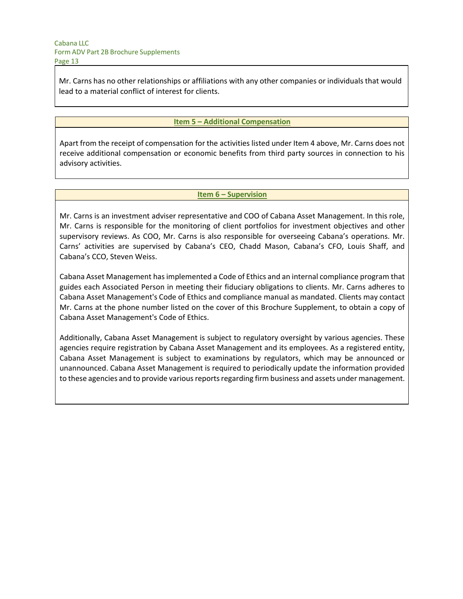Mr. Carns has no other relationships or affiliations with any other companies or individuals that would lead to a material conflict of interest for clients.

### **Item 5 – Additional Compensation**

Apart from the receipt of compensation for the activities listed under Item 4 above, Mr. Carns does not receive additional compensation or economic benefits from third party sources in connection to his advisory activities.

#### **Item 6 – Supervision**

Mr. Carns is an investment adviser representative and COO of Cabana Asset Management. In this role, Mr. Carns is responsible for the monitoring of client portfolios for investment objectives and other supervisory reviews. As COO, Mr. Carns is also responsible for overseeing Cabana's operations. Mr. Carns' activities are supervised by Cabana's CEO, Chadd Mason, Cabana's CFO, Louis Shaff, and Cabana's CCO, Steven Weiss.

Cabana Asset Management has implemented a Code of Ethics and an internal compliance program that guides each Associated Person in meeting their fiduciary obligations to clients. Mr. Carns adheres to Cabana Asset Management's Code of Ethics and compliance manual as mandated. Clients may contact Mr. Carns at the phone number listed on the cover of this Brochure Supplement, to obtain a copy of Cabana Asset Management's Code of Ethics.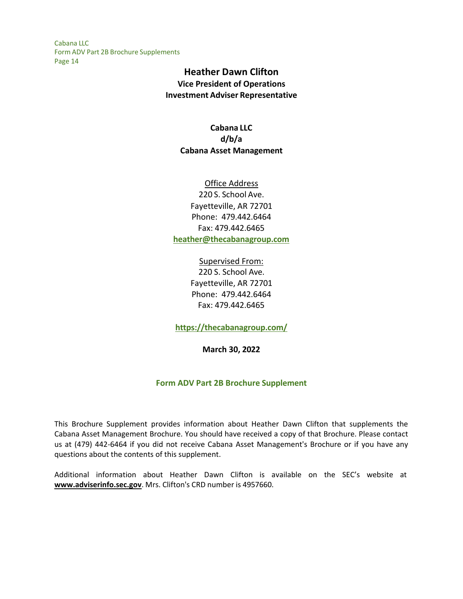# **Heather Dawn Clifton Vice President of Operations Investment Adviser Representative**

## **Cabana LLC d/b/a Cabana Asset Management**

## Office Address 220 S. School Ave. Fayetteville, AR 72701 Phone: 479.442.6464 Fax: 479.442.6465 **[heather@thecabanagroup.com](mailto:heather@thecabanagroup.com)**

Supervised From: 220 S. School Ave. Fayetteville, AR 72701 Phone: 479.442.6464 Fax: 479.442.6465

**<https://thecabanagroup.com/>**

**March 30, 2022**

## **Form ADV Part 2B Brochure Supplement**

This Brochure Supplement provides information about Heather Dawn Clifton that supplements the Cabana Asset Management Brochure. You should have received a copy of that Brochure. Please contact us at (479) 442-6464 if you did not receive Cabana Asset Management's Brochure or if you have any questions about the contents of this supplement.

Additional information about Heather Dawn Clifton is available on the SEC's website at **[www.adviserinfo.sec.gov](http://www.adviserinfo.sec.gov/)**. Mrs. Clifton's CRD number is 4957660.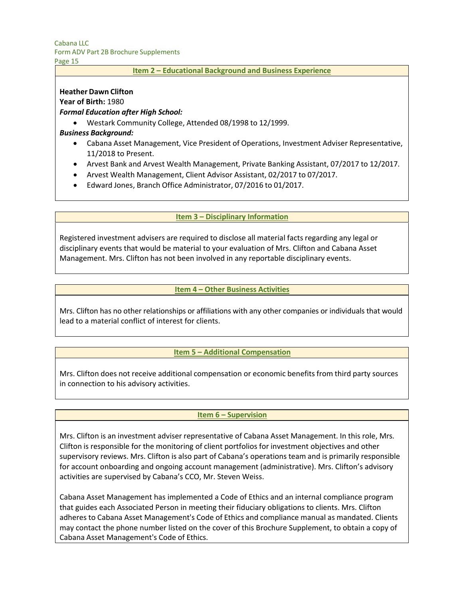# Cabana LLC

Form ADV Part 2B Brochure Supplements

Page 15

#### **Item 2 – Educational Background and Business Experience**

### **Heather Dawn Clifton**

**Year of Birth:** 1980

## *Formal Education after High School:*

• Westark Community College, Attended 08/1998 to 12/1999.

## *Business Background:*

- Cabana Asset Management, Vice President of Operations, Investment Adviser Representative, 11/2018 to Present.
- Arvest Bank and Arvest Wealth Management, Private Banking Assistant, 07/2017 to 12/2017.
- Arvest Wealth Management, Client Advisor Assistant, 02/2017 to 07/2017.
- Edward Jones, Branch Office Administrator, 07/2016 to 01/2017.

## **Item 3 – Disciplinary Information**

Registered investment advisers are required to disclose all material facts regarding any legal or disciplinary events that would be material to your evaluation of Mrs. Clifton and Cabana Asset Management. Mrs. Clifton has not been involved in any reportable disciplinary events.

## **Item 4 – Other Business Activities**

Mrs. Clifton has no other relationships or affiliations with any other companies or individuals that would lead to a material conflict of interest for clients.

## **Item 5 – Additional Compensation**

Mrs. Clifton does not receive additional compensation or economic benefits from third party sources in connection to his advisory activities.

## **Item 6 – Supervision**

Mrs. Clifton is an investment adviser representative of Cabana Asset Management. In this role, Mrs. Clifton is responsible for the monitoring of client portfolios for investment objectives and other supervisory reviews. Mrs. Clifton is also part of Cabana's operations team and is primarily responsible for account onboarding and ongoing account management (administrative). Mrs. Clifton's advisory activities are supervised by Cabana's CCO, Mr. Steven Weiss.

Cabana Asset Management has implemented a Code of Ethics and an internal compliance program that guides each Associated Person in meeting their fiduciary obligations to clients. Mrs. Clifton adheres to Cabana Asset Management's Code of Ethics and compliance manual as mandated. Clients may contact the phone number listed on the cover of this Brochure Supplement, to obtain a copy of Cabana Asset Management's Code of Ethics.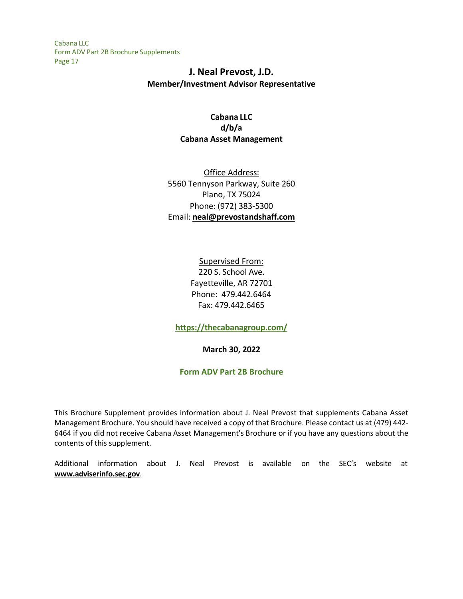# **J. Neal Prevost, J.D. Member/Investment Advisor Representative**

## **Cabana LLC d/b/a Cabana Asset Management**

Office Address: 5560 Tennyson Parkway, Suite 260 Plano, TX 75024 Phone: (972) 383-5300 Email: **[neal@prevostandshaff.com](mailto:neal@prevostandshaff.com)**

> Supervised From: 220 S. School Ave. Fayetteville, AR 72701 Phone: 479.442.6464 Fax: 479.442.6465

**<https://thecabanagroup.com/>**

**March 30, 2022**

## **Form ADV Part 2B Brochure**

This Brochure Supplement provides information about J. Neal Prevost that supplements Cabana Asset Management Brochure. You should have received a copy of that Brochure. Please contact us at (479) 442- 6464 if you did not receive Cabana Asset Management's Brochure or if you have any questions about the contents of this supplement.

Additional information about J. Neal Prevost is available on the SEC's website at **[www.adviserinfo.sec.gov](http://www.adviserinfo.sec.gov/)**.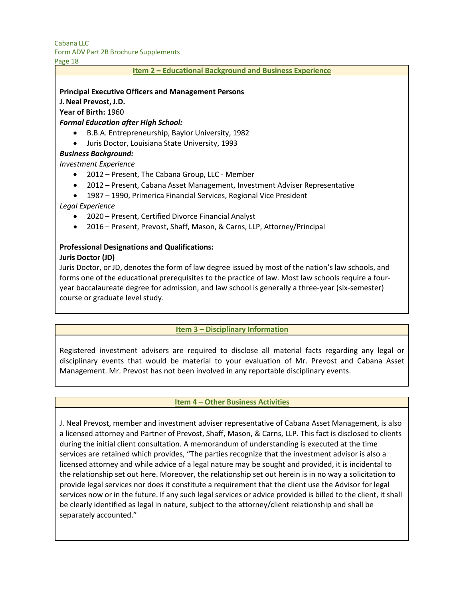Page 18

#### **Item 2 – Educational Background and Business Experience**

#### **Principal Executive Officers and Management Persons**

**J. Neal Prevost, J.D.** 

**Year of Birth:** 1960

*Formal Education after High School:*

- B.B.A. Entrepreneurship, Baylor University, 1982
- Juris Doctor, Louisiana State University, 1993

#### *Business Background:*

*Investment Experience*

- 2012 Present, The Cabana Group, LLC Member
- 2012 Present, Cabana Asset Management, Investment Adviser Representative
- 1987 1990, Primerica Financial Services, Regional Vice President

*Legal Experience*

- 2020 Present, Certified Divorce Financial Analyst
- 2016 Present, Prevost, Shaff, Mason, & Carns, LLP, Attorney/Principal

#### **Professional Designations and Qualifications: Juris Doctor (JD)**

Juris Doctor, or JD, denotes the form of law degree issued by most of the nation's law schools, and forms one of the educational prerequisites to the practice of law. Most law schools require a fouryear baccalaureate degree for admission, and law school is generally a three-year (six-semester) course or graduate level study.

#### **Item 3 – Disciplinary Information**

Registered investment advisers are required to disclose all material facts regarding any legal or disciplinary events that would be material to your evaluation of Mr. Prevost and Cabana Asset Management. Mr. Prevost has not been involved in any reportable disciplinary events.

#### **Item 4 – Other Business Activities**

J. Neal Prevost, member and investment adviser representative of Cabana Asset Management, is also a licensed attorney and Partner of Prevost, Shaff, Mason, & Carns, LLP. This fact is disclosed to clients during the initial client consultation. A memorandum of understanding is executed at the time services are retained which provides, "The parties recognize that the investment advisor is also a licensed attorney and while advice of a legal nature may be sought and provided, it is incidental to the relationship set out here. Moreover, the relationship set out herein is in no way a solicitation to provide legal services nor does it constitute a requirement that the client use the Advisor for legal services now or in the future. If any such legal services or advice provided is billed to the client, it shall be clearly identified as legal in nature, subject to the attorney/client relationship and shall be separately accounted."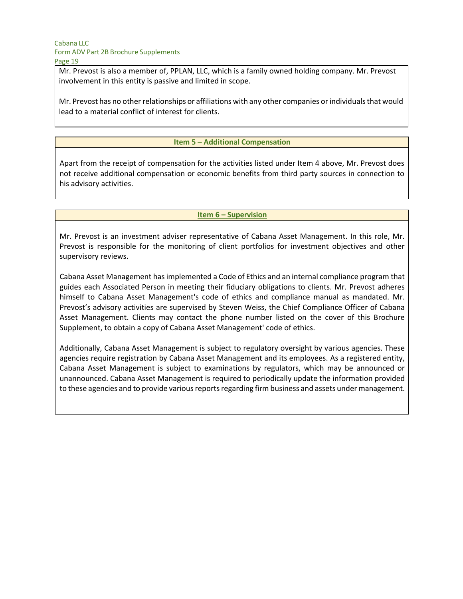Mr. Prevost is also a member of, PPLAN, LLC, which is a family owned holding company. Mr. Prevost involvement in this entity is passive and limited in scope.

Mr. Prevost has no other relationships or affiliations with any other companies or individuals that would lead to a material conflict of interest for clients.

#### **Item 5 – Additional Compensation**

Apart from the receipt of compensation for the activities listed under Item 4 above, Mr. Prevost does not receive additional compensation or economic benefits from third party sources in connection to his advisory activities.

#### **Item 6 – Supervision**

Mr. Prevost is an investment adviser representative of Cabana Asset Management. In this role, Mr. Prevost is responsible for the monitoring of client portfolios for investment objectives and other supervisory reviews.

Cabana Asset Management has implemented a Code of Ethics and an internal compliance program that guides each Associated Person in meeting their fiduciary obligations to clients. Mr. Prevost adheres himself to Cabana Asset Management's code of ethics and compliance manual as mandated. Mr. Prevost's advisory activities are supervised by Steven Weiss, the Chief Compliance Officer of Cabana Asset Management. Clients may contact the phone number listed on the cover of this Brochure Supplement, to obtain a copy of Cabana Asset Management' code of ethics.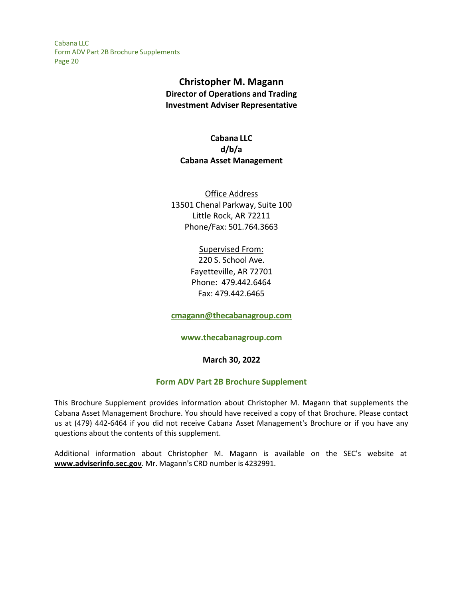# **Christopher M. Magann Director of Operations and Trading Investment Adviser Representative**

**Cabana LLC d/b/a Cabana Asset Management**

Office Address 13501 Chenal Parkway, Suite 100 Little Rock, AR 72211 Phone/Fax: 501.764.3663

## Supervised From:

220 S. School Ave. Fayetteville, AR 72701 Phone: 479.442.6464 Fax: 479.442.6465

**[cmagann@thecabanagroup.com](mailto:cmagann@thecabanagroup.com)**

## **[www.thecabanagroup.com](http://www.thecabanagroup.com/)**

## **March 30, 2022**

#### **Form ADV Part 2B Brochure Supplement**

This Brochure Supplement provides information about Christopher M. Magann that supplements the Cabana Asset Management Brochure. You should have received a copy of that Brochure. Please contact us at (479) 442-6464 if you did not receive Cabana Asset Management's Brochure or if you have any questions about the contents of this supplement.

Additional information about Christopher M. Magann is available on the SEC's website at **[www.adviserinfo.sec.gov](http://www.adviserinfo.sec.gov/)**. Mr. Magann's CRD number is 4232991.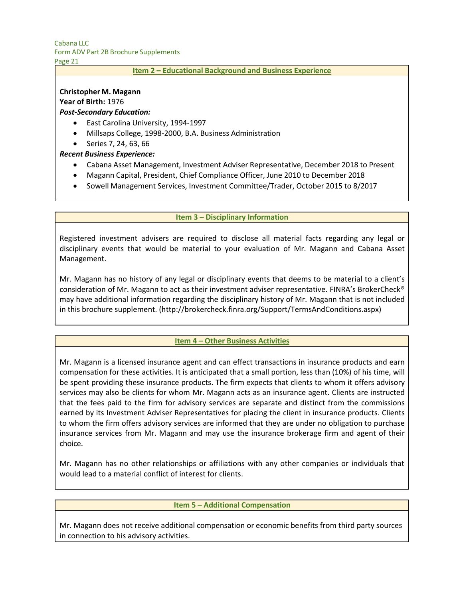Page 21

#### **Item 2 – Educational Background and Business Experience**

### **Christopher M. Magann**

### **Year of Birth:** 1976

## *Post-Secondary Education:*

- East Carolina University, 1994-1997
- Millsaps College, 1998-2000, B.A. Business Administration
- Series 7, 24, 63, 66

### *Recent Business Experience:*

- Cabana Asset Management, Investment Adviser Representative, December 2018 to Present
- Magann Capital, President, Chief Compliance Officer, June 2010 to December 2018
- Sowell Management Services, Investment Committee/Trader, October 2015 to 8/2017

#### **Item 3 – Disciplinary Information**

Registered investment advisers are required to disclose all material facts regarding any legal or disciplinary events that would be material to your evaluation of Mr. Magann and Cabana Asset Management.

Mr. Magann has no history of any legal or disciplinary events that deems to be material to a client's consideration of Mr. Magann to act as their investment adviser representative. FINRA's BrokerCheck® may have additional information regarding the disciplinary history of Mr. Magann that is not included in this brochure supplement. [\(http://brokercheck.finra.org/Support/TermsAndConditions.aspx\)](http://brokercheck.finra.org/Support/TermsAndConditions.aspx)

#### **Item 4 – Other Business Activities**

Mr. Magann is a licensed insurance agent and can effect transactions in insurance products and earn compensation for these activities. It is anticipated that a small portion, less than (10%) of his time, will be spent providing these insurance products. The firm expects that clients to whom it offers advisory services may also be clients for whom Mr. Magann acts as an insurance agent. Clients are instructed that the fees paid to the firm for advisory services are separate and distinct from the commissions earned by its Investment Adviser Representatives for placing the client in insurance products. Clients to whom the firm offers advisory services are informed that they are under no obligation to purchase insurance services from Mr. Magann and may use the insurance brokerage firm and agent of their choice.

Mr. Magann has no other relationships or affiliations with any other companies or individuals that would lead to a material conflict of interest for clients.

#### **Item 5 – Additional Compensation**

Mr. Magann does not receive additional compensation or economic benefits from third party sources in connection to his advisory activities.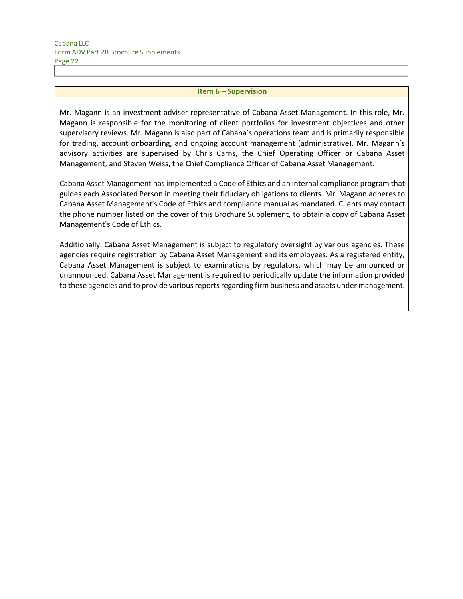#### **Item 6 – Supervision**

Mr. Magann is an investment adviser representative of Cabana Asset Management. In this role, Mr. Magann is responsible for the monitoring of client portfolios for investment objectives and other supervisory reviews. Mr. Magann is also part of Cabana's operations team and is primarily responsible for trading, account onboarding, and ongoing account management (administrative). Mr. Magann's advisory activities are supervised by Chris Carns, the Chief Operating Officer or Cabana Asset Management, and Steven Weiss, the Chief Compliance Officer of Cabana Asset Management.

Cabana Asset Management has implemented a Code of Ethics and an internal compliance program that guides each Associated Person in meeting their fiduciary obligations to clients. Mr. Magann adheres to Cabana Asset Management's Code of Ethics and compliance manual as mandated. Clients may contact the phone number listed on the cover of this Brochure Supplement, to obtain a copy of Cabana Asset Management's Code of Ethics.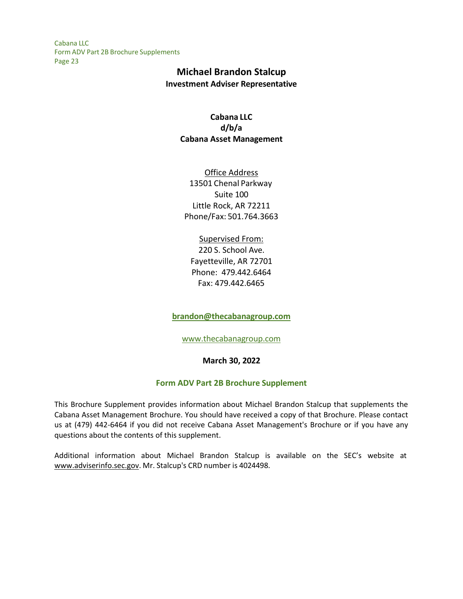## **Michael Brandon Stalcup Investment Adviser Representative**

## **Cabana LLC d/b/a Cabana Asset Management**

Office Address 13501 Chenal Parkway Suite 100 Little Rock, AR 72211 Phone/Fax: 501.764.3663

Supervised From: 220 S. School Ave. Fayetteville, AR 72701 Phone: 479.442.6464 Fax: 479.442.6465

**[brandon@thecabanagroup.com](mailto:brandon@thecabanagroup.com)**

[www.thecabanagroup.com](http://www.thecabanagroup.com/)

**March 30, 2022**

## **Form ADV Part 2B Brochure Supplement**

This Brochure Supplement provides information about Michael Brandon Stalcup that supplements the Cabana Asset Management Brochure. You should have received a copy of that Brochure. Please contact us at (479) 442-6464 if you did not receive Cabana Asset Management's Brochure or if you have any questions about the contents of this supplement.

Additional information about Michael Brandon Stalcup is available on the SEC's website at [www.adviserinfo.sec.gov. M](http://www.adviserinfo.sec.gov/)r. Stalcup's CRD number is 4024498.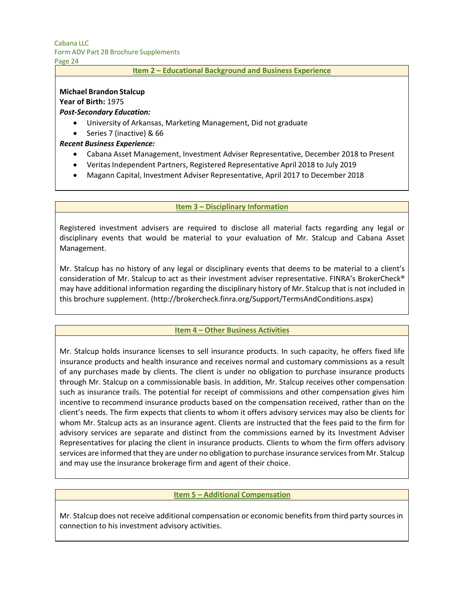Page 24

#### **Item 2 – Educational Background and Business Experience**

### **Michael Brandon Stalcup**

**Year of Birth:** 1975

### *Post-Secondary Education:*

- University of Arkansas, Marketing Management, Did not graduate
- Series 7 (inactive) & 66

## *Recent Business Experience:*

- Cabana Asset Management, Investment Adviser Representative, December 2018 to Present
- Veritas Independent Partners, Registered Representative April 2018 to July 2019
- Magann Capital, Investment Adviser Representative, April 2017 to December 2018

#### **Item 3 – Disciplinary Information**

Registered investment advisers are required to disclose all material facts regarding any legal or disciplinary events that would be material to your evaluation of Mr. Stalcup and Cabana Asset Management.

Mr. Stalcup has no history of any legal or disciplinary events that deems to be material to a client's consideration of Mr. Stalcup to act as their investment adviser representative. FINRA's BrokerCheck® may have additional information regarding the disciplinary history of Mr. Stalcup that is not included in this brochure supplement. [\(http://brokercheck.finra.org/Support/TermsAndConditions.aspx\)](http://brokercheck.finra.org/Support/TermsAndConditions.aspx)

#### **Item 4 – Other Business Activities**

Mr. Stalcup holds insurance licenses to sell insurance products. In such capacity, he offers fixed life insurance products and health insurance and receives normal and customary commissions as a result of any purchases made by clients. The client is under no obligation to purchase insurance products through Mr. Stalcup on a commissionable basis. In addition, Mr. Stalcup receives other compensation such as insurance trails. The potential for receipt of commissions and other compensation gives him incentive to recommend insurance products based on the compensation received, rather than on the client's needs. The firm expects that clients to whom it offers advisory services may also be clients for whom Mr. Stalcup acts as an insurance agent. Clients are instructed that the fees paid to the firm for advisory services are separate and distinct from the commissions earned by its Investment Adviser Representatives for placing the client in insurance products. Clients to whom the firm offers advisory services are informed that they are under no obligation to purchase insurance services from Mr. Stalcup and may use the insurance brokerage firm and agent of their choice.

#### **Item 5 – Additional Compensation**

Mr. Stalcup does not receive additional compensation or economic benefits from third party sources in connection to his investment advisory activities.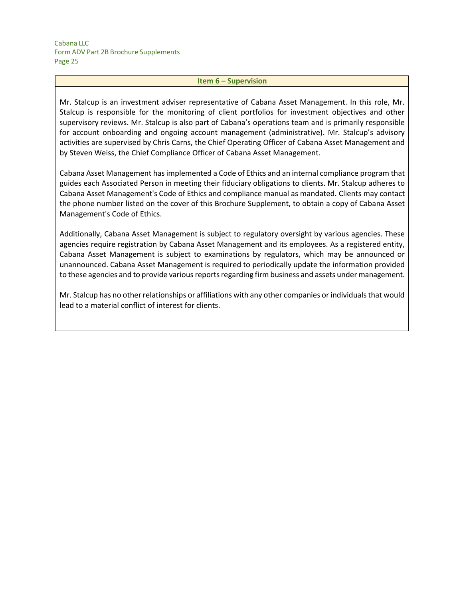#### **Item 6 – Supervision**

Mr. Stalcup is an investment adviser representative of Cabana Asset Management. In this role, Mr. Stalcup is responsible for the monitoring of client portfolios for investment objectives and other supervisory reviews. Mr. Stalcup is also part of Cabana's operations team and is primarily responsible for account onboarding and ongoing account management (administrative). Mr. Stalcup's advisory activities are supervised by Chris Carns, the Chief Operating Officer of Cabana Asset Management and by Steven Weiss, the Chief Compliance Officer of Cabana Asset Management.

Cabana Asset Management has implemented a Code of Ethics and an internal compliance program that guides each Associated Person in meeting their fiduciary obligations to clients. Mr. Stalcup adheres to Cabana Asset Management's Code of Ethics and compliance manual as mandated. Clients may contact the phone number listed on the cover of this Brochure Supplement, to obtain a copy of Cabana Asset Management's Code of Ethics.

Additionally, Cabana Asset Management is subject to regulatory oversight by various agencies. These agencies require registration by Cabana Asset Management and its employees. As a registered entity, Cabana Asset Management is subject to examinations by regulators, which may be announced or unannounced. Cabana Asset Management is required to periodically update the information provided to these agencies and to provide various reports regarding firm business and assets under management.

Mr. Stalcup has no other relationships or affiliations with any other companies or individuals that would lead to a material conflict of interest for clients.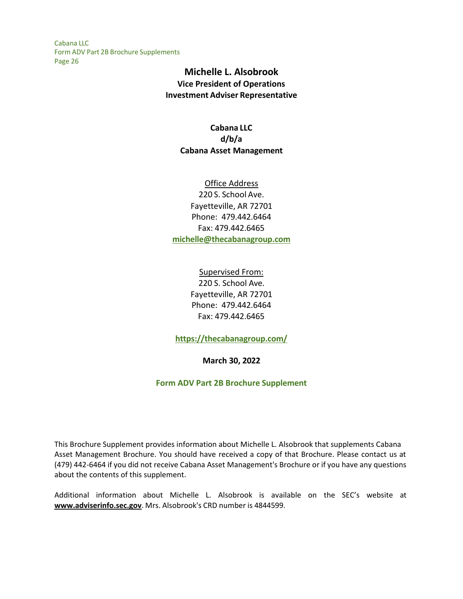# **Michelle L. Alsobrook Vice President of Operations Investment Adviser Representative**

## **Cabana LLC d/b/a Cabana Asset Management**

## Office Address 220 S. School Ave. Fayetteville, AR 72701 Phone: 479.442.6464 Fax: 479.442.6465 **[michelle@thecabanagroup.com](mailto:michelle@thecabanagroup.com)**

Supervised From: 220 S. School Ave. Fayetteville, AR 72701 Phone: 479.442.6464 Fax: 479.442.6465

**<https://thecabanagroup.com/>**

**March 30, 2022**

## **Form ADV Part 2B Brochure Supplement**

This Brochure Supplement provides information about Michelle L. Alsobrook that supplements Cabana Asset Management Brochure. You should have received a copy of that Brochure. Please contact us at (479) 442-6464 if you did not receive Cabana Asset Management's Brochure or if you have any questions about the contents of this supplement.

Additional information about Michelle L. Alsobrook is available on the SEC's website at **[www.adviserinfo.sec.gov](http://www.adviserinfo.sec.gov/)**. Mrs. Alsobrook's CRD number is 4844599.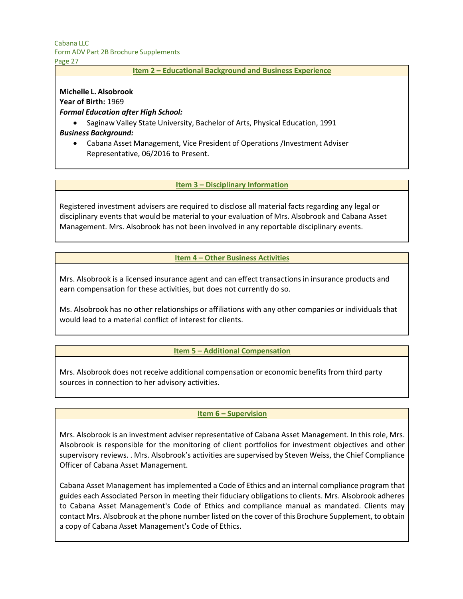Page 27

#### **Item 2 – Educational Background and Business Experience**

### **Michelle L. Alsobrook**

**Year of Birth:** 1969

## *Formal Education after High School:*

• Saginaw Valley State University, Bachelor of Arts, Physical Education, 1991

## *Business Background:*

• Cabana Asset Management, Vice President of Operations /Investment Adviser Representative, 06/2016 to Present.

### **Item 3 – Disciplinary Information**

Registered investment advisers are required to disclose all material facts regarding any legal or disciplinary events that would be material to your evaluation of Mrs. Alsobrook and Cabana Asset Management. Mrs. Alsobrook has not been involved in any reportable disciplinary events.

## **Item 4 – Other Business Activities**

Mrs. Alsobrook is a licensed insurance agent and can effect transactions in insurance products and earn compensation for these activities, but does not currently do so.

Ms. Alsobrook has no other relationships or affiliations with any other companies or individuals that would lead to a material conflict of interest for clients.

## **Item 5 – Additional Compensation**

Mrs. Alsobrook does not receive additional compensation or economic benefits from third party sources in connection to her advisory activities.

#### **Item 6 – Supervision**

Mrs. Alsobrook is an investment adviser representative of Cabana Asset Management. In this role, Mrs. Alsobrook is responsible for the monitoring of client portfolios for investment objectives and other supervisory reviews. . Mrs. Alsobrook's activities are supervised by Steven Weiss, the Chief Compliance Officer of Cabana Asset Management.

Cabana Asset Management has implemented a Code of Ethics and an internal compliance program that guides each Associated Person in meeting their fiduciary obligations to clients. Mrs. Alsobrook adheres to Cabana Asset Management's Code of Ethics and compliance manual as mandated. Clients may contact Mrs. Alsobrook at the phone number listed on the cover of this Brochure Supplement, to obtain a copy of Cabana Asset Management's Code of Ethics.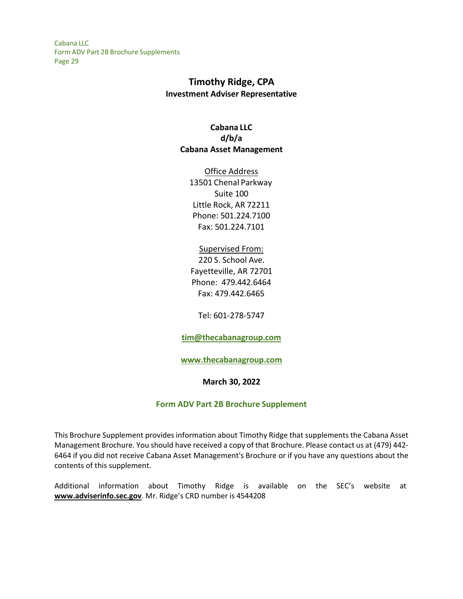# **Timothy Ridge, CPA Investment Adviser Representative**

## **Cabana LLC d/b/a Cabana Asset Management**

Office Address 13501 Chenal Parkway Suite 100 Little Rock, AR 72211 Phone: 501.224.7100 Fax: 501.224.7101

## Supervised From: 220 S. School Ave. Fayetteville, AR 72701 Phone: 479.442.6464 Fax: 479.442.6465

Tel: 601-278-5747

## **[tim@thecabanagroup.com](mailto:tim@thecabanagroup.com)**

#### **[www.thecabanagroup.com](http://www.thecabanagroup.com/)**

#### **March 30, 2022**

## **Form ADV Part 2B Brochure Supplement**

This Brochure Supplement provides information about Timothy Ridge that supplements the Cabana Asset Management Brochure. You should have received a copy of that Brochure. Please contact us at (479) 442- 6464 if you did not receive Cabana Asset Management's Brochure or if you have any questions about the contents of this supplement.

Additional information about Timothy Ridge is available on the SEC's website at **[www.adviserinfo.sec.gov](http://www.adviserinfo.sec.gov/)**. Mr. Ridge's CRD number is 4544208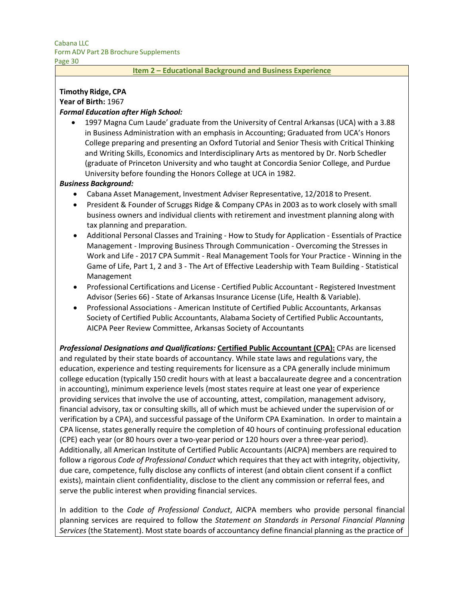Page 30

#### **Item 2 – Educational Background and Business Experience**

# **Timothy Ridge, CPA**

**Year of Birth:** 1967

## *Formal Education after High School:*

• 1997 Magna Cum Laude' graduate from the University of Central Arkansas (UCA) with a 3.88 in Business Administration with an emphasis in Accounting; Graduated from UCA's Honors College preparing and presenting an Oxford Tutorial and Senior Thesis with Critical Thinking and Writing Skills, Economics and Interdisciplinary Arts as mentored by Dr. Norb Schedler (graduate of Princeton University and who taught at Concordia Senior College, and Purdue University before founding the Honors College at UCA in 1982.

### *Business Background:*

- Cabana Asset Management, Investment Adviser Representative, 12/2018 to Present.
- President & Founder of Scruggs Ridge & Company CPAs in 2003 as to work closely with small business owners and individual clients with retirement and investment planning along with tax planning and preparation.
- Additional Personal Classes and Training How to Study for Application Essentials of Practice Management - Improving Business Through Communication - Overcoming the Stresses in Work and Life - 2017 CPA Summit - Real Management Tools for Your Practice - Winning in the Game of Life, Part 1, 2 and 3 - The Art of Effective Leadership with Team Building - Statistical Management
- Professional Certifications and License Certified Public Accountant Registered Investment Advisor (Series 66) - State of Arkansas Insurance License (Life, Health & Variable).
- Professional Associations American Institute of Certified Public Accountants, Arkansas Society of Certified Public Accountants, Alabama Society of Certified Public Accountants, AICPA Peer Review Committee, Arkansas Society of Accountants

*Professional Designations and Qualifications:* **Certified Public Accountant (CPA):** CPAs are licensed and regulated by their state boards of accountancy. While state laws and regulations vary, the education, experience and testing requirements for licensure as a CPA generally include minimum college education (typically 150 credit hours with at least a baccalaureate degree and a concentration in accounting), minimum experience levels (most states require at least one year of experience providing services that involve the use of accounting, attest, compilation, management advisory, financial advisory, tax or consulting skills, all of which must be achieved under the supervision of or verification by a CPA), and successful passage of the Uniform CPA Examination. In order to maintain a CPA license, states generally require the completion of 40 hours of continuing professional education (CPE) each year (or 80 hours over a two-year period or 120 hours over a three-year period). Additionally, all American Institute of Certified Public Accountants (AICPA) members are required to follow a rigorous *Code of Professional Conduct* which requires that they act with integrity, objectivity, due care, competence, fully disclose any conflicts of interest (and obtain client consent if a conflict exists), maintain client confidentiality, disclose to the client any commission or referral fees, and serve the public interest when providing financial services.

In addition to the *Code of Professional Conduct*, AICPA members who provide personal financial planning services are required to follow the *Statement on Standards in Personal Financial Planning*  Services (the Statement). Most state boards of accountancy define financial planning as the practice of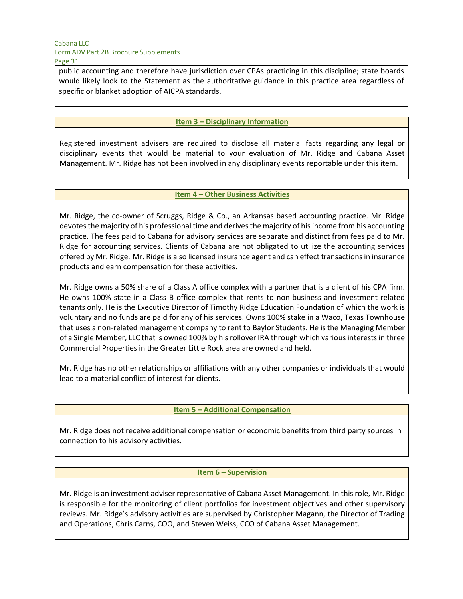public accounting and therefore have jurisdiction over CPAs practicing in this discipline; state boards would likely look to the Statement as the authoritative guidance in this practice area regardless of specific or blanket adoption of AICPA standards.

### **Item 3 – Disciplinary Information**

Registered investment advisers are required to disclose all material facts regarding any legal or disciplinary events that would be material to your evaluation of Mr. Ridge and Cabana Asset Management. Mr. Ridge has not been involved in any disciplinary events reportable under this item.

#### **Item 4 – Other Business Activities**

Mr. Ridge, the co-owner of Scruggs, Ridge & Co., an Arkansas based accounting practice. Mr. Ridge devotes the majority of his professional time and derives the majority of hisincome from his accounting practice. The fees paid to Cabana for advisory services are separate and distinct from fees paid to Mr. Ridge for accounting services. Clients of Cabana are not obligated to utilize the accounting services offered by Mr. Ridge. Mr. Ridge is also licensed insurance agent and can effect transactions in insurance products and earn compensation for these activities.

Mr. Ridge owns a 50% share of a Class A office complex with a partner that is a client of his CPA firm. He owns 100% state in a Class B office complex that rents to non-business and investment related tenants only. He is the Executive Director of Timothy Ridge Education Foundation of which the work is voluntary and no funds are paid for any of his services. Owns 100% stake in a Waco, Texas Townhouse that uses a non-related management company to rent to Baylor Students. He is the Managing Member of a Single Member, LLC that is owned 100% by his rollover IRA through which various interests in three Commercial Properties in the Greater Little Rock area are owned and held.

Mr. Ridge has no other relationships or affiliations with any other companies or individuals that would lead to a material conflict of interest for clients.

#### **Item 5 – Additional Compensation**

Mr. Ridge does not receive additional compensation or economic benefits from third party sources in connection to his advisory activities.

#### **Item 6 – Supervision**

Mr. Ridge is an investment adviser representative of Cabana Asset Management. In this role, Mr. Ridge is responsible for the monitoring of client portfolios for investment objectives and other supervisory reviews. Mr. Ridge's advisory activities are supervised by Christopher Magann, the Director of Trading and Operations, Chris Carns, COO, and Steven Weiss, CCO of Cabana Asset Management.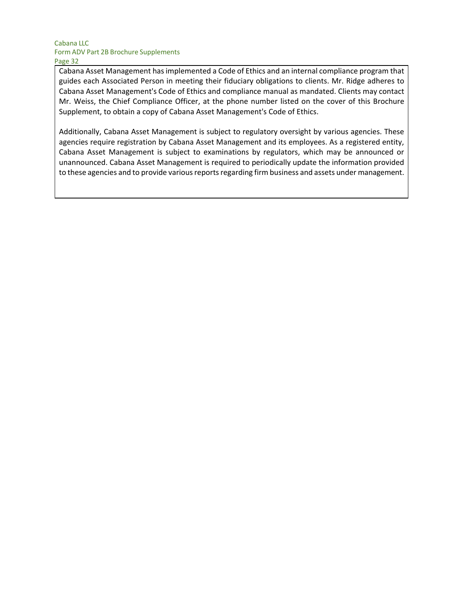Cabana Asset Management hasimplemented a Code of Ethics and an internal compliance program that guides each Associated Person in meeting their fiduciary obligations to clients. Mr. Ridge adheres to Cabana Asset Management's Code of Ethics and compliance manual as mandated. Clients may contact Mr. Weiss, the Chief Compliance Officer, at the phone number listed on the cover of this Brochure Supplement, to obtain a copy of Cabana Asset Management's Code of Ethics.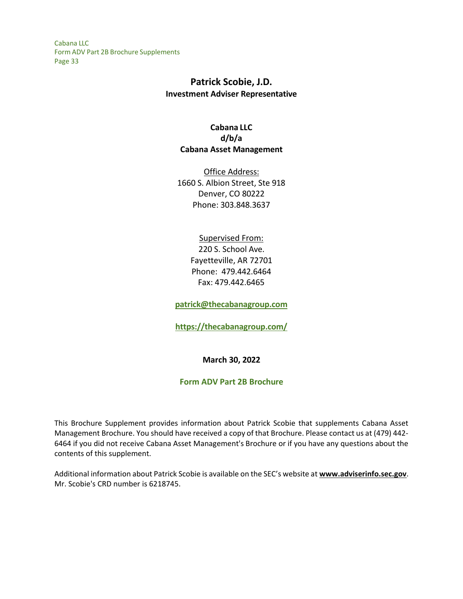## **Patrick Scobie, J.D. Investment Adviser Representative**

## **Cabana LLC d/b/a Cabana Asset Management**

Office Address: 1660 S. Albion Street, Ste 918 Denver, CO 80222 Phone: 303.848.3637

## Supervised From: 220 S. School Ave. Fayetteville, AR 72701 Phone: 479.442.6464 Fax: 479.442.6465

**[patrick@thecabanagroup.com](mailto:patrick@thecabanagroup.com)**

**<https://thecabanagroup.com/>**

**March 30, 2022**

#### **Form ADV Part 2B Brochure**

This Brochure Supplement provides information about Patrick Scobie that supplements Cabana Asset Management Brochure. You should have received a copy of that Brochure. Please contact us at (479) 442- 6464 if you did not receive Cabana Asset Management's Brochure or if you have any questions about the contents of this supplement.

Additional information about Patrick Scobie is available on the SEC's website at **[www.adviserinfo.sec.gov](http://www.adviserinfo.sec.gov/)**. Mr. Scobie's CRD number is 6218745.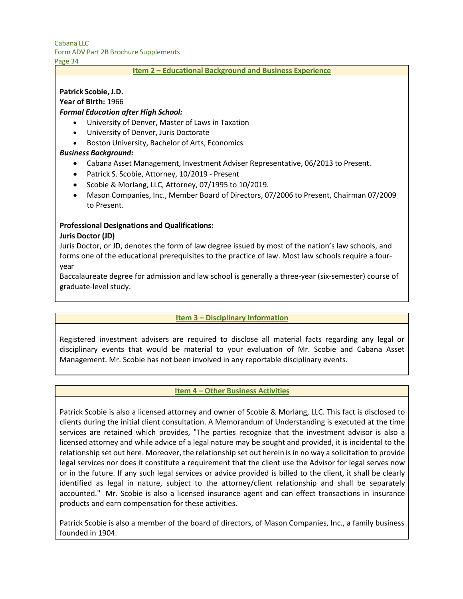# Cabana LLC

Form ADV Part 2B Brochure Supplements

Page 34

#### **Item 2 – Educational Background and Business Experience**

## **Patrick Scobie, J.D.**

**Year of Birth:** 1966

## *Formal Education after High School:*

- University of Denver, Master of Laws in Taxation
- University of Denver, Juris Doctorate
- Boston University, Bachelor of Arts, Economics

## *Business Background:*

- Cabana Asset Management, Investment Adviser Representative, 06/2013 to Present.
- Patrick S. Scobie, Attorney, 10/2019 Present
- Scobie & Morlang, LLC, Attorney, 07/1995 to 10/2019.
- Mason Companies, Inc., Member Board of Directors, 07/2006 to Present, Chairman 07/2009 to Present.

### **Professional Designations and Qualifications:**

#### **Juris Doctor (JD)**

Juris Doctor, or JD, denotes the form of law degree issued by most of the nation's law schools, and forms one of the educational prerequisites to the practice of law. Most law schools require a fouryear

Baccalaureate degree for admission and law school is generally a three-year (six-semester) course of graduate-level study.

## **Item 3 – Disciplinary Information**

Registered investment advisers are required to disclose all material facts regarding any legal or disciplinary events that would be material to your evaluation of Mr. Scobie and Cabana Asset Management. Mr. Scobie has not been involved in any reportable disciplinary events.

#### **Item 4 – Other Business Activities**

Patrick Scobie is also a licensed attorney and owner of Scobie & Morlang, LLC. This fact is disclosed to clients during the initial client consultation. A Memorandum of Understanding is executed at the time services are retained which provides, "The parties recognize that the investment advisor is also a licensed attorney and while advice of a legal nature may be sought and provided, it is incidental to the relationship set out here. Moreover, the relationship set out herein is in no way a solicitation to provide legal services nor does it constitute a requirement that the client use the Advisor for legal serves now or in the future. If any such legal services or advice provided is billed to the client, it shall be clearly identified as legal in nature, subject to the attorney/client relationship and shall be separately accounted." Mr. Scobie is also a licensed insurance agent and can effect transactions in insurance products and earn compensation for these activities.

Patrick Scobie is also a member of the board of directors, of Mason Companies, Inc., a family business founded in 1904.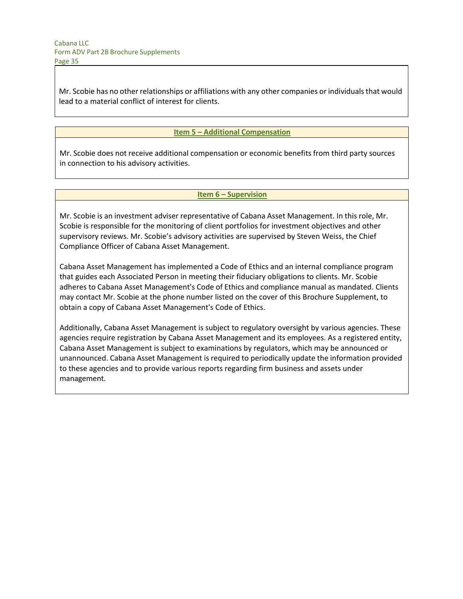Mr. Scobie has no other relationships or affiliations with any other companies or individualsthat would lead to a material conflict of interest for clients.

### **Item 5 – Additional Compensation**

Mr. Scobie does not receive additional compensation or economic benefits from third party sources in connection to his advisory activities.

#### **Item 6 – Supervision**

Mr. Scobie is an investment adviser representative of Cabana Asset Management. In this role, Mr. Scobie is responsible for the monitoring of client portfolios for investment objectives and other supervisory reviews. Mr. Scobie's advisory activities are supervised by Steven Weiss, the Chief Compliance Officer of Cabana Asset Management.

Cabana Asset Management has implemented a Code of Ethics and an internal compliance program that guides each Associated Person in meeting their fiduciary obligations to clients. Mr. Scobie adheres to Cabana Asset Management's Code of Ethics and compliance manual as mandated. Clients may contact Mr. Scobie at the phone number listed on the cover of this Brochure Supplement, to obtain a copy of Cabana Asset Management's Code of Ethics.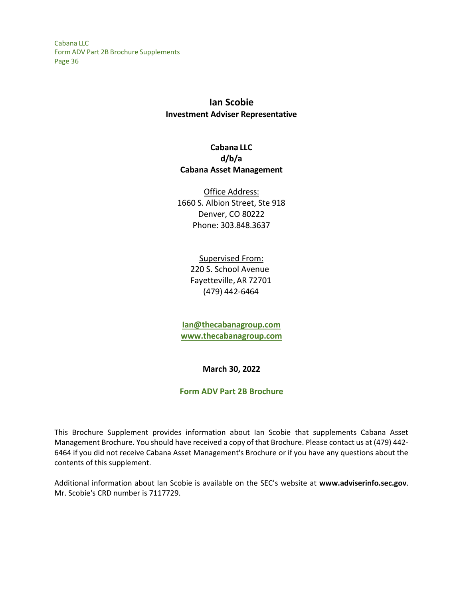# **Ian Scobie Investment Adviser Representative**

## **Cabana LLC d/b/a Cabana Asset Management**

Office Address: 1660 S. Albion Street, Ste 918 Denver, CO 80222 Phone: 303.848.3637

> Supervised From: 220 S. School Avenue Fayetteville, AR 72701 (479) 442-6464

**[Ian@thecabanagroup.com](mailto:Ian@thecabanagroup.com) [www.thecabanagroup.com](http://www.thecabanagroup.com/)**

**March 30, 2022**

## **Form ADV Part 2B Brochure**

This Brochure Supplement provides information about Ian Scobie that supplements Cabana Asset Management Brochure. You should have received a copy of that Brochure. Please contact us at (479) 442- 6464 if you did not receive Cabana Asset Management's Brochure or if you have any questions about the contents of this supplement.

Additional information about Ian Scobie is available on the SEC's website at **[www.adviserinfo.sec.gov](http://www.adviserinfo.sec.gov/)**. Mr. Scobie's CRD number is 7117729.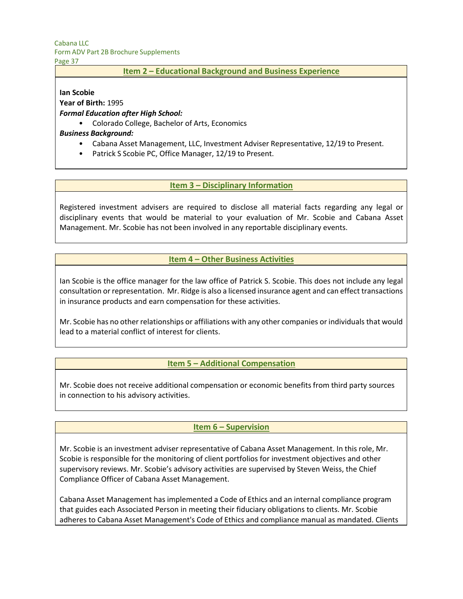Cabana LLC

Form ADV Part 2B Brochure Supplements

Page 37

### **Item 2 – Educational Background and Business Experience**

#### **Ian Scobie**

**Year of Birth:** 1995

### *Formal Education after High School:*

• Colorado College, Bachelor of Arts, Economics

### *Business Background:*

- Cabana Asset Management, LLC, Investment Adviser Representative, 12/19 to Present.
- Patrick S Scobie PC, Office Manager, 12/19 to Present.

## **Item 3 – Disciplinary Information**

Registered investment advisers are required to disclose all material facts regarding any legal or disciplinary events that would be material to your evaluation of Mr. Scobie and Cabana Asset Management. Mr. Scobie has not been involved in any reportable disciplinary events.

## **Item 4 – Other Business Activities**

Ian Scobie is the office manager for the law office of Patrick S. Scobie. This does not include any legal consultation or representation. Mr. Ridge is also a licensed insurance agent and can effect transactions in insurance products and earn compensation for these activities.

Mr. Scobie has no other relationships or affiliations with any other companies or individuals that would lead to a material conflict of interest for clients.

## **Item 5 – Additional Compensation**

Mr. Scobie does not receive additional compensation or economic benefits from third party sources in connection to his advisory activities.

## **Item 6 – Supervision**

Mr. Scobie is an investment adviser representative of Cabana Asset Management. In this role, Mr. Scobie is responsible for the monitoring of client portfolios for investment objectives and other supervisory reviews. Mr. Scobie's advisory activities are supervised by Steven Weiss, the Chief Compliance Officer of Cabana Asset Management.

Cabana Asset Management has implemented a Code of Ethics and an internal compliance program that guides each Associated Person in meeting their fiduciary obligations to clients. Mr. Scobie adheres to Cabana Asset Management's Code of Ethics and compliance manual as mandated. Clients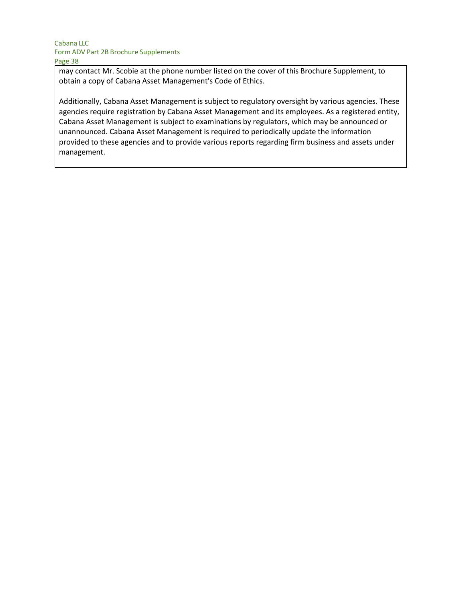may contact Mr. Scobie at the phone number listed on the cover of this Brochure Supplement, to obtain a copy of Cabana Asset Management's Code of Ethics.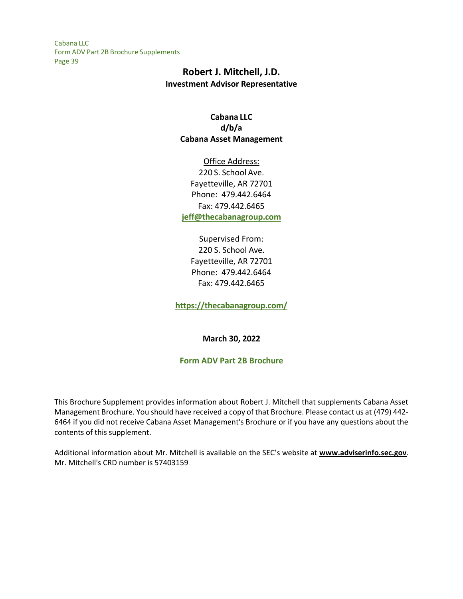# **Robert J. Mitchell, J.D. Investment Advisor Representative**

## **Cabana LLC d/b/a Cabana Asset Management**

Office Address: 220 S. School Ave. Fayetteville, AR 72701 Phone: 479.442.6464 Fax: 479.442.6465 **[jeff@thecabanagroup.com](mailto:jeff@thecabanagroup.com)**

Supervised From: 220 S. School Ave. Fayetteville, AR 72701 Phone: 479.442.6464 Fax: 479.442.6465

**<https://thecabanagroup.com/>**

**March 30, 2022**

#### **Form ADV Part 2B Brochure**

This Brochure Supplement provides information about Robert J. Mitchell that supplements Cabana Asset Management Brochure. You should have received a copy of that Brochure. Please contact us at (479) 442- 6464 if you did not receive Cabana Asset Management's Brochure or if you have any questions about the contents of this supplement.

Additional information about Mr. Mitchell is available on the SEC's website at **[www.adviserinfo.sec.gov](http://www.adviserinfo.sec.gov/)**. Mr. Mitchell's CRD number is 57403159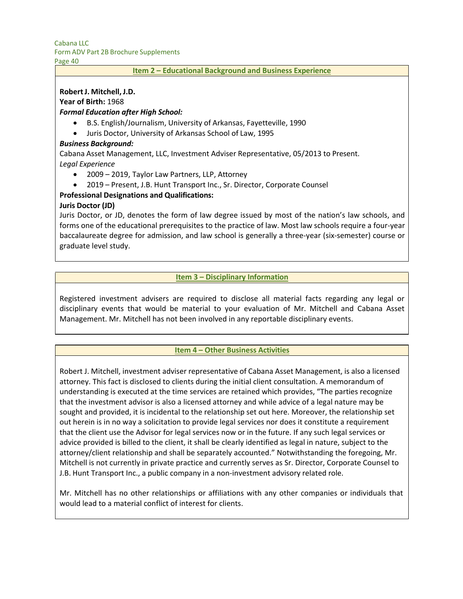Page 40

#### **Item 2 – Educational Background and Business Experience**

### **Robert J. Mitchell, J.D.**

**Year of Birth:** 1968

## *Formal Education after High School:*

- B.S. English/Journalism, University of Arkansas, Fayetteville, 1990
- Juris Doctor, University of Arkansas School of Law, 1995

### *Business Background:*

Cabana Asset Management, LLC, Investment Adviser Representative, 05/2013 to Present. *Legal Experience*

- 2009 2019, Taylor Law Partners, LLP, Attorney
- 2019 Present, J.B. Hunt Transport Inc., Sr. Director, Corporate Counsel

## **Professional Designations and Qualifications:**

### **Juris Doctor (JD)**

Juris Doctor, or JD, denotes the form of law degree issued by most of the nation's law schools, and forms one of the educational prerequisites to the practice of law. Most law schools require a four-year baccalaureate degree for admission, and law school is generally a three-year (six-semester) course or graduate level study.

### **Item 3 – Disciplinary Information**

Registered investment advisers are required to disclose all material facts regarding any legal or disciplinary events that would be material to your evaluation of Mr. Mitchell and Cabana Asset Management. Mr. Mitchell has not been involved in any reportable disciplinary events.

#### **Item 4 – Other Business Activities**

Robert J. Mitchell, investment adviser representative of Cabana Asset Management, is also a licensed attorney. This fact is disclosed to clients during the initial client consultation. A memorandum of understanding is executed at the time services are retained which provides, "The parties recognize that the investment advisor is also a licensed attorney and while advice of a legal nature may be sought and provided, it is incidental to the relationship set out here. Moreover, the relationship set out herein is in no way a solicitation to provide legal services nor does it constitute a requirement that the client use the Advisor for legal services now or in the future. If any such legal services or advice provided is billed to the client, it shall be clearly identified as legal in nature, subject to the attorney/client relationship and shall be separately accounted." Notwithstanding the foregoing, Mr. Mitchell is not currently in private practice and currently serves as Sr. Director, Corporate Counsel to J.B. Hunt Transport Inc., a public company in a non-investment advisory related role.

Mr. Mitchell has no other relationships or affiliations with any other companies or individuals that would lead to a material conflict of interest for clients.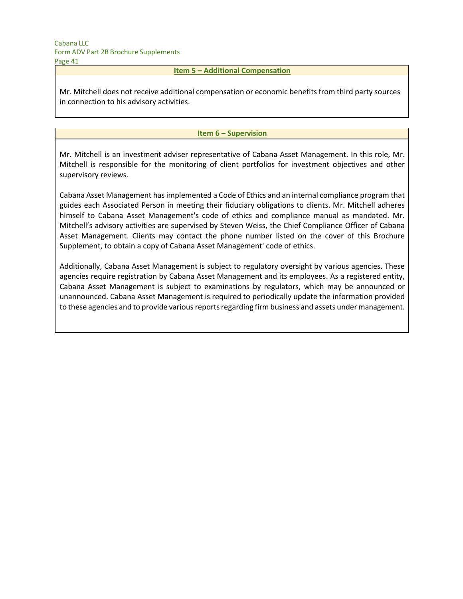## **Item 5 – Additional Compensation**

Mr. Mitchell does not receive additional compensation or economic benefits from third party sources in connection to his advisory activities.

#### **Item 6 – Supervision**

Mr. Mitchell is an investment adviser representative of Cabana Asset Management. In this role, Mr. Mitchell is responsible for the monitoring of client portfolios for investment objectives and other supervisory reviews.

Cabana Asset Management has implemented a Code of Ethics and an internal compliance program that guides each Associated Person in meeting their fiduciary obligations to clients. Mr. Mitchell adheres himself to Cabana Asset Management's code of ethics and compliance manual as mandated. Mr. Mitchell's advisory activities are supervised by Steven Weiss, the Chief Compliance Officer of Cabana Asset Management. Clients may contact the phone number listed on the cover of this Brochure Supplement, to obtain a copy of Cabana Asset Management' code of ethics.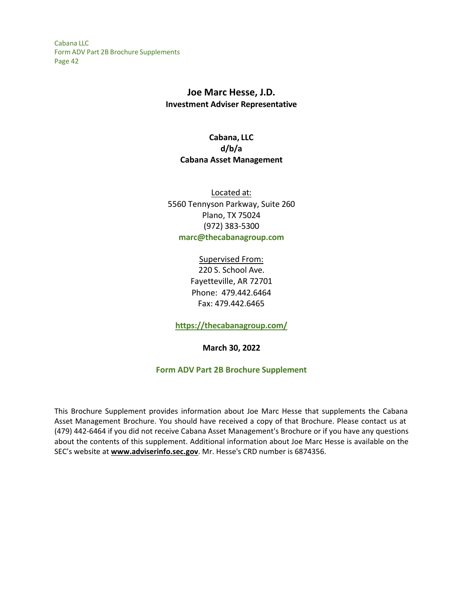## **Joe Marc Hesse, J.D. Investment Adviser Representative**

# **Cabana, LLC d/b/a Cabana Asset Management**

Located at: 5560 Tennyson Parkway, Suite 260 Plano, TX 75024 (972) 383-5300 **[marc@thecabanagroup.com](mailto:marc@thecabanagroup.com)**

> Supervised From: 220 S. School Ave. Fayetteville, AR 72701 Phone: 479.442.6464 Fax: 479.442.6465

**<https://thecabanagroup.com/>**

**March 30, 2022**

## **Form ADV Part 2B Brochure Supplement**

This Brochure Supplement provides information about Joe Marc Hesse that supplements the Cabana Asset Management Brochure. You should have received a copy of that Brochure. Please contact us at (479) 442-6464 if you did not receive Cabana Asset Management's Brochure or if you have any questions about the contents of this supplement. Additional information about Joe Marc Hesse is available on the SEC's website at **[www.adviserinfo.sec.gov](http://www.adviserinfo.sec.gov/)**. Mr. Hesse's CRD number is 6874356.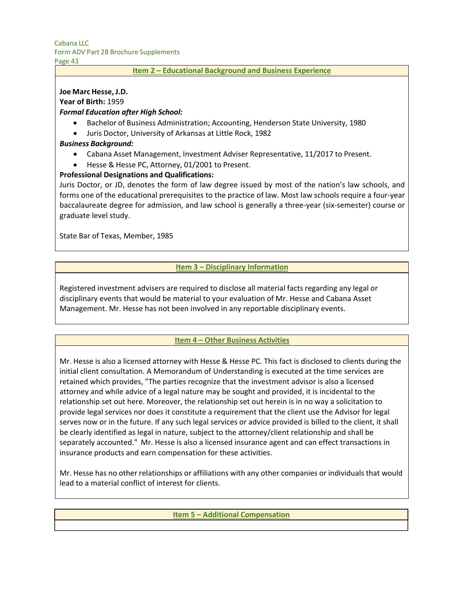Page 43

#### **Item 2 – Educational Background and Business Experience**

## **Joe Marc Hesse, J.D.**

**Year of Birth:** 1959

### *Formal Education after High School:*

- Bachelor of Business Administration; Accounting, Henderson State University, 1980
- Juris Doctor, University of Arkansas at Little Rock, 1982

### *Business Background:*

- Cabana Asset Management, Investment Adviser Representative, 11/2017 to Present.
- Hesse & Hesse PC, Attorney, 01/2001 to Present.

### **Professional Designations and Qualifications:**

Juris Doctor, or JD, denotes the form of law degree issued by most of the nation's law schools, and forms one of the educational prerequisites to the practice of law. Most law schools require a four-year baccalaureate degree for admission, and law school is generally a three-year (six-semester) course or graduate level study.

State Bar of Texas, Member, 1985

### **Item 3 – Disciplinary Information**

Registered investment advisers are required to disclose all material facts regarding any legal or disciplinary events that would be material to your evaluation of Mr. Hesse and Cabana Asset Management. Mr. Hesse has not been involved in any reportable disciplinary events.

#### **Item 4 – Other Business Activities**

Mr. Hesse is also a licensed attorney with Hesse & Hesse PC. This fact is disclosed to clients during the initial client consultation. A Memorandum of Understanding is executed at the time services are retained which provides, "The parties recognize that the investment advisor is also a licensed attorney and while advice of a legal nature may be sought and provided, it is incidental to the relationship set out here. Moreover, the relationship set out herein is in no way a solicitation to provide legal services nor does it constitute a requirement that the client use the Advisor for legal serves now or in the future. If any such legal services or advice provided is billed to the client, it shall be clearly identified as legal in nature, subject to the attorney/client relationship and shall be separately accounted." Mr. Hesse is also a licensed insurance agent and can effect transactions in insurance products and earn compensation for these activities.

Mr. Hesse has no other relationships or affiliations with any other companies or individuals that would lead to a material conflict of interest for clients.

#### **Item 5 – Additional Compensation**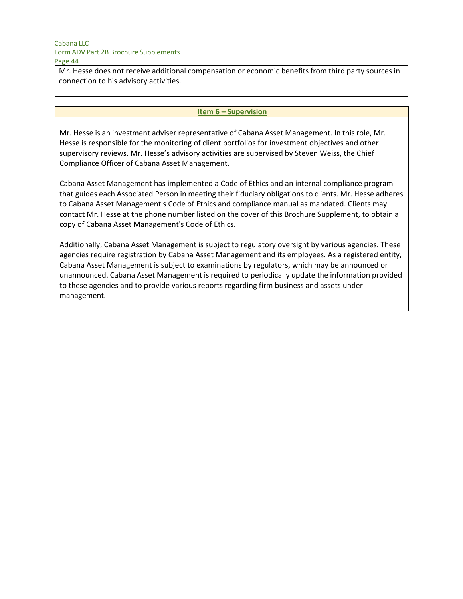Mr. Hesse does not receive additional compensation or economic benefits from third party sources in connection to his advisory activities.

#### **Item 6 – Supervision**

Mr. Hesse is an investment adviser representative of Cabana Asset Management. In this role, Mr. Hesse is responsible for the monitoring of client portfolios for investment objectives and other supervisory reviews. Mr. Hesse's advisory activities are supervised by Steven Weiss, the Chief Compliance Officer of Cabana Asset Management.

Cabana Asset Management has implemented a Code of Ethics and an internal compliance program that guides each Associated Person in meeting their fiduciary obligations to clients. Mr. Hesse adheres to Cabana Asset Management's Code of Ethics and compliance manual as mandated. Clients may contact Mr. Hesse at the phone number listed on the cover of this Brochure Supplement, to obtain a copy of Cabana Asset Management's Code of Ethics.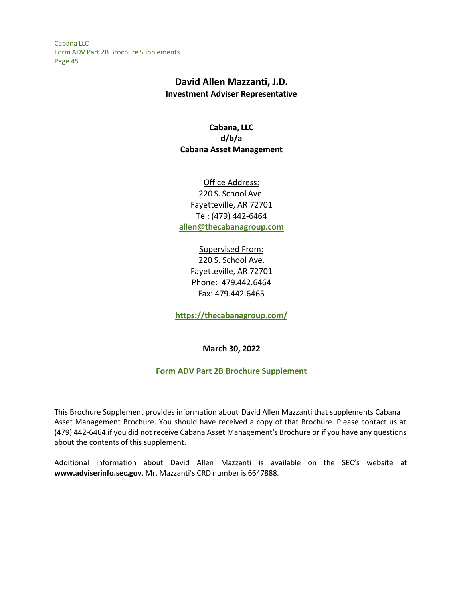# **David Allen Mazzanti, J.D. Investment Adviser Representative**

## **Cabana, LLC d/b/a Cabana Asset Management**

Office Address: 220 S. School Ave. Fayetteville, AR 72701 Tel: (479) 442-6464 **[allen@thecabanagroup.com](mailto:allen@thecabanagroup.com)**

## Supervised From: 220 S. School Ave.

Fayetteville, AR 72701 Phone: 479.442.6464 Fax: 479.442.6465

**<https://thecabanagroup.com/>**

## **March 30, 2022**

## **Form ADV Part 2B Brochure Supplement**

This Brochure Supplement provides information about David Allen Mazzanti that supplements Cabana Asset Management Brochure. You should have received a copy of that Brochure. Please contact us at (479) 442-6464 if you did not receive Cabana Asset Management's Brochure or if you have any questions about the contents of this supplement.

Additional information about David Allen Mazzanti is available on the SEC's website at **[www.adviserinfo.sec.gov](http://www.adviserinfo.sec.gov/)**. Mr. Mazzanti's CRD number is 6647888.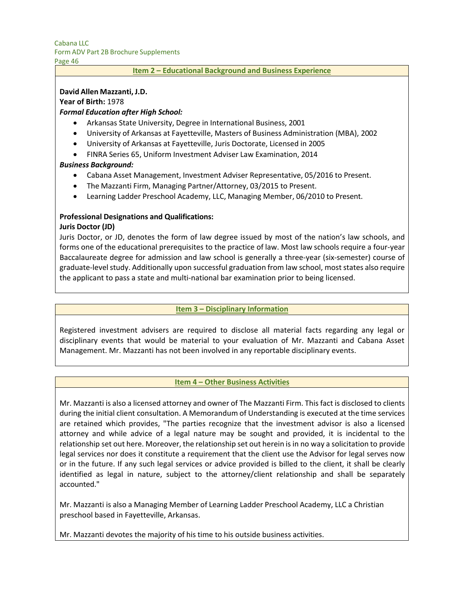Page 46

#### **Item 2 – Educational Background and Business Experience**

#### **David Allen Mazzanti, J.D.**

**Year of Birth:** 1978

#### *Formal Education after High School:*

- Arkansas State University, Degree in International Business, 2001
- University of Arkansas at Fayetteville, Masters of Business Administration (MBA), 2002
- University of Arkansas at Fayetteville, Juris Doctorate, Licensed in 2005
- FINRA Series 65, Uniform Investment Adviser Law Examination, 2014

#### *Business Background:*

- Cabana Asset Management, Investment Adviser Representative, 05/2016 to Present.
- The Mazzanti Firm, Managing Partner/Attorney, 03/2015 to Present.
- Learning Ladder Preschool Academy, LLC, Managing Member, 06/2010 to Present.

#### **Professional Designations and Qualifications:**

### **Juris Doctor (JD)**

Juris Doctor, or JD, denotes the form of law degree issued by most of the nation's law schools, and forms one of the educational prerequisites to the practice of law. Most law schools require a four-year Baccalaureate degree for admission and law school is generally a three-year (six-semester) course of graduate-level study. Additionally upon successful graduation from law school, moststates also require the applicant to pass a state and multi-national bar examination prior to being licensed.

#### **Item 3 – Disciplinary Information**

Registered investment advisers are required to disclose all material facts regarding any legal or disciplinary events that would be material to your evaluation of Mr. Mazzanti and Cabana Asset Management. Mr. Mazzanti has not been involved in any reportable disciplinary events.

#### **Item 4 – Other Business Activities**

Mr. Mazzanti is also a licensed attorney and owner of The Mazzanti Firm. This fact is disclosed to clients during the initial client consultation. A Memorandum of Understanding is executed at the time services are retained which provides, "The parties recognize that the investment advisor is also a licensed attorney and while advice of a legal nature may be sought and provided, it is incidental to the relationship set out here. Moreover, the relationship set out herein is in no way a solicitation to provide legal services nor does it constitute a requirement that the client use the Advisor for legal serves now or in the future. If any such legal services or advice provided is billed to the client, it shall be clearly identified as legal in nature, subject to the attorney/client relationship and shall be separately accounted."

Mr. Mazzanti is also a Managing Member of Learning Ladder Preschool Academy, LLC a Christian preschool based in Fayetteville, Arkansas.

Mr. Mazzanti devotes the majority of his time to his outside business activities.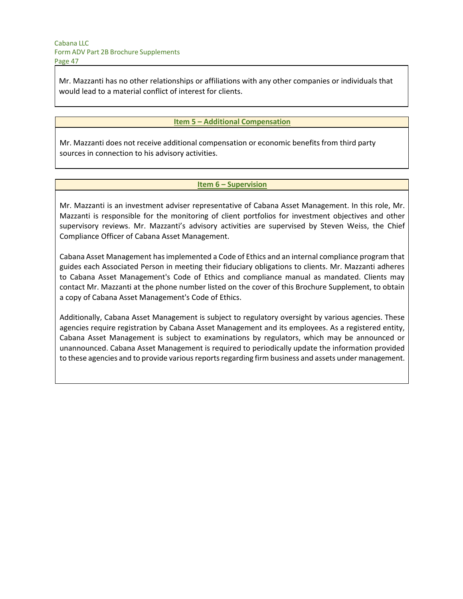Mr. Mazzanti has no other relationships or affiliations with any other companies or individuals that would lead to a material conflict of interest for clients.

#### **Item 5 – Additional Compensation**

Mr. Mazzanti does not receive additional compensation or economic benefits from third party sources in connection to his advisory activities.

#### **Item 6 – Supervision**

Mr. Mazzanti is an investment adviser representative of Cabana Asset Management. In this role, Mr. Mazzanti is responsible for the monitoring of client portfolios for investment objectives and other supervisory reviews. Mr. Mazzanti's advisory activities are supervised by Steven Weiss, the Chief Compliance Officer of Cabana Asset Management.

Cabana Asset Management has implemented a Code of Ethics and an internal compliance program that guides each Associated Person in meeting their fiduciary obligations to clients. Mr. Mazzanti adheres to Cabana Asset Management's Code of Ethics and compliance manual as mandated. Clients may contact Mr. Mazzanti at the phone number listed on the cover of this Brochure Supplement, to obtain a copy of Cabana Asset Management's Code of Ethics.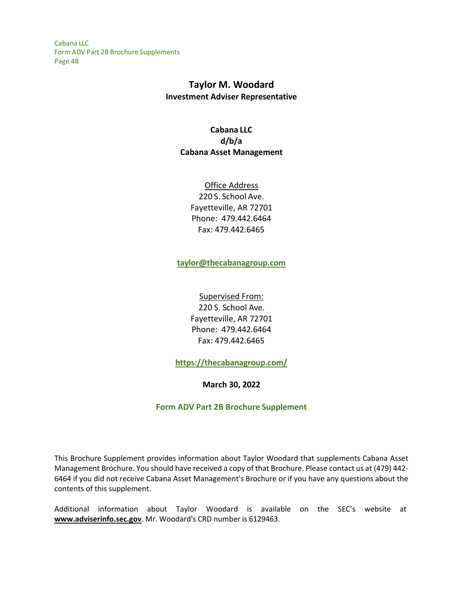# **Taylor M. Woodard Investment Adviser Representative**

# **Cabana LLC d/b/a Cabana Asset Management**

Office Address 220 S. School Ave. Fayetteville, AR 72701 Phone: 479.442.6464 Fax: 479.442.6465

**[taylor@thecabanagroup.com](mailto:taylor@thecabanagroup.com)**

Supervised From: 220 S. School Ave. Fayetteville, AR 72701 Phone: 479.442.6464 Fax: 479.442.6465

**<https://thecabanagroup.com/>**

**March 30, 2022**

**Form ADV Part 2B Brochure Supplement**

This Brochure Supplement provides information about Taylor Woodard that supplements Cabana Asset Management Brochure. You should have received a copy of that Brochure. Please contact us at (479) 442- 6464 if you did not receive Cabana Asset Management's Brochure or if you have any questions about the contents of this supplement.

Additional information about Taylor Woodard is available on the SEC's website at **[www.adviserinfo.sec.gov](http://www.adviserinfo.sec.gov/)**. Mr. Woodard's CRD number is 6129463.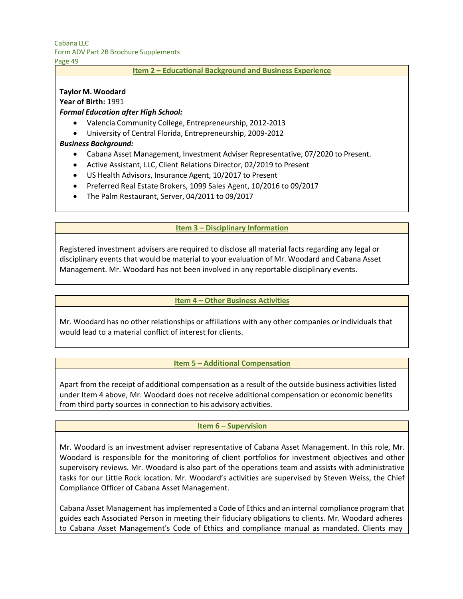Page 49

#### **Item 2 – Educational Background and Business Experience**

## **Taylor M. Woodard**

**Year of Birth:** 1991

### *Formal Education after High School:*

- Valencia Community College, Entrepreneurship, 2012-2013
- University of Central Florida, Entrepreneurship, 2009-2012

### *Business Background:*

- Cabana Asset Management, Investment Adviser Representative, 07/2020 to Present.
- Active Assistant, LLC, Client Relations Director, 02/2019 to Present
- US Health Advisors, Insurance Agent, 10/2017 to Present
- Preferred Real Estate Brokers, 1099 Sales Agent, 10/2016 to 09/2017
- The Palm Restaurant, Server, 04/2011 to 09/2017

### **Item 3 – Disciplinary Information**

Registered investment advisers are required to disclose all material facts regarding any legal or disciplinary events that would be material to your evaluation of Mr. Woodard and Cabana Asset Management. Mr. Woodard has not been involved in any reportable disciplinary events.

#### **Item 4 – Other Business Activities**

Mr. Woodard has no other relationships or affiliations with any other companies or individuals that would lead to a material conflict of interest for clients.

#### **Item 5 – Additional Compensation**

Apart from the receipt of additional compensation as a result of the outside business activities listed under Item 4 above, Mr. Woodard does not receive additional compensation or economic benefits from third party sources in connection to his advisory activities.

#### **Item 6 – Supervision**

Mr. Woodard is an investment adviser representative of Cabana Asset Management. In this role, Mr. Woodard is responsible for the monitoring of client portfolios for investment objectives and other supervisory reviews. Mr. Woodard is also part of the operations team and assists with administrative tasks for our Little Rock location. Mr. Woodard's activities are supervised by Steven Weiss, the Chief Compliance Officer of Cabana Asset Management.

Cabana Asset Management has implemented a Code of Ethics and an internal compliance program that guides each Associated Person in meeting their fiduciary obligations to clients. Mr. Woodard adheres to Cabana Asset Management's Code of Ethics and compliance manual as mandated. Clients may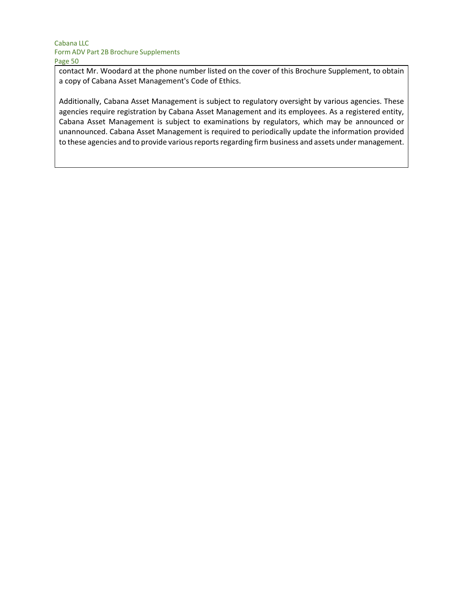contact Mr. Woodard at the phone number listed on the cover of this Brochure Supplement, to obtain a copy of Cabana Asset Management's Code of Ethics.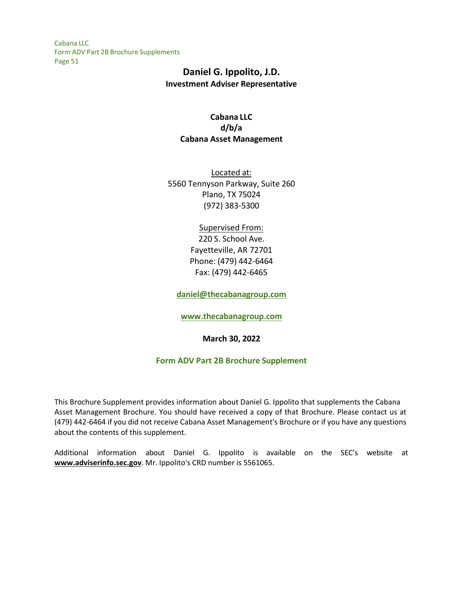# **Daniel G. Ippolito, J.D. Investment Adviser Representative**

## **Cabana LLC d/b/a Cabana Asset Management**

Located at: 5560 Tennyson Parkway, Suite 260 Plano, TX 75024 (972) 383-5300

## Supervised From:

220 S. School Ave. Fayetteville, AR 72701 Phone: (479) 442-6464 Fax: (479) 442-6465

**[daniel@thecabanagroup.com](mailto:daniel@thecabanagroup.com)**

**[www.thecabanagroup.com](http://www.thecabanagroup.com/)**

**March 30, 2022**

## **Form ADV Part 2B Brochure Supplement**

This Brochure Supplement provides information about Daniel G. Ippolito that supplements the Cabana Asset Management Brochure. You should have received a copy of that Brochure. Please contact us at (479) 442-6464 if you did not receive Cabana Asset Management's Brochure or if you have any questions about the contents of this supplement.

Additional information about Daniel G. Ippolito is available on the SEC's website at **[www.adviserinfo.sec.gov](http://www.adviserinfo.sec.gov/)**. Mr. Ippolito's CRD number is 5561065.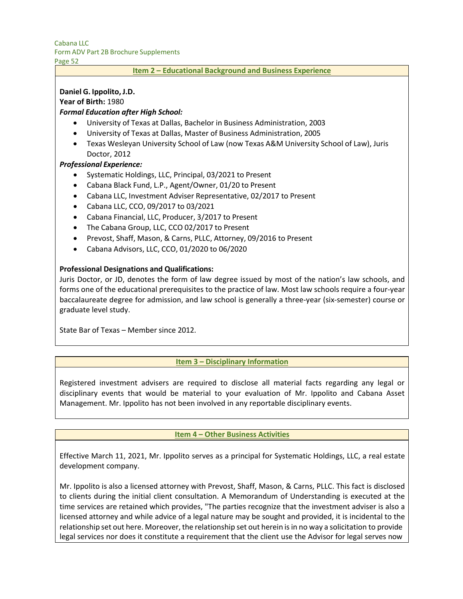Page 52

#### **Item 2 – Educational Background and Business Experience**

### **Daniel G. Ippolito, J.D.**

**Year of Birth:** 1980

### *Formal Education after High School:*

- University of Texas at Dallas, Bachelor in Business Administration, 2003
- University of Texas at Dallas, Master of Business Administration, 2005
- Texas Wesleyan University School of Law (now Texas A&M University School of Law), Juris Doctor, 2012

### *Professional Experience:*

- Systematic Holdings, LLC, Principal, 03/2021 to Present
- Cabana Black Fund, L.P., Agent/Owner, 01/20 to Present
- Cabana LLC, Investment Adviser Representative, 02/2017 to Present
- Cabana LLC, CCO, 09/2017 to 03/2021
- Cabana Financial, LLC, Producer, 3/2017 to Present
- The Cabana Group, LLC, CCO 02/2017 to Present
- Prevost, Shaff, Mason, & Carns, PLLC, Attorney, 09/2016 to Present
- Cabana Advisors, LLC, CCO, 01/2020 to 06/2020

#### **Professional Designations and Qualifications:**

Juris Doctor, or JD, denotes the form of law degree issued by most of the nation's law schools, and forms one of the educational prerequisites to the practice of law. Most law schools require a four-year baccalaureate degree for admission, and law school is generally a three-year (six-semester) course or graduate level study.

State Bar of Texas – Member since 2012.

#### **Item 3 – Disciplinary Information**

Registered investment advisers are required to disclose all material facts regarding any legal or disciplinary events that would be material to your evaluation of Mr. Ippolito and Cabana Asset Management. Mr. Ippolito has not been involved in any reportable disciplinary events.

#### **Item 4 – Other Business Activities**

Effective March 11, 2021, Mr. Ippolito serves as a principal for Systematic Holdings, LLC, a real estate development company.

Mr. Ippolito is also a licensed attorney with Prevost, Shaff, Mason, & Carns, PLLC. This fact is disclosed to clients during the initial client consultation. A Memorandum of Understanding is executed at the time services are retained which provides, "The parties recognize that the investment adviser is also a licensed attorney and while advice of a legal nature may be sought and provided, it is incidental to the relationship set out here. Moreover, the relationship set out herein is in no way a solicitation to provide legal services nor does it constitute a requirement that the client use the Advisor for legal serves now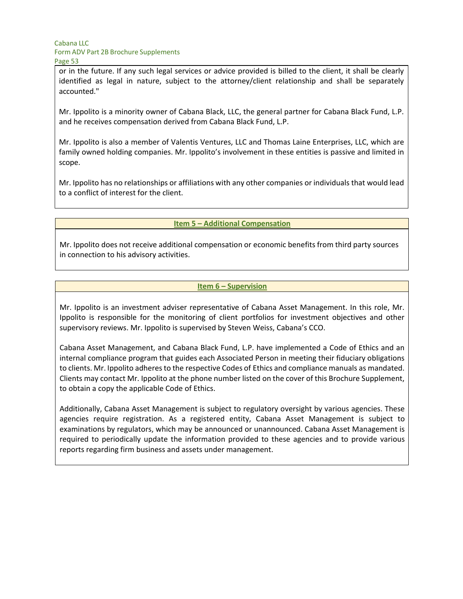or in the future. If any such legal services or advice provided is billed to the client, it shall be clearly identified as legal in nature, subject to the attorney/client relationship and shall be separately accounted."

Mr. Ippolito is a minority owner of Cabana Black, LLC, the general partner for Cabana Black Fund, L.P. and he receives compensation derived from Cabana Black Fund, L.P.

Mr. Ippolito is also a member of Valentis Ventures, LLC and Thomas Laine Enterprises, LLC, which are family owned holding companies. Mr. Ippolito's involvement in these entities is passive and limited in scope.

Mr. Ippolito has no relationships or affiliations with any other companies or individuals that would lead to a conflict of interest for the client.

#### **Item 5 – Additional Compensation**

Mr. Ippolito does not receive additional compensation or economic benefits from third party sources in connection to his advisory activities.

### **Item 6 – Supervision**

Mr. Ippolito is an investment adviser representative of Cabana Asset Management. In this role, Mr. Ippolito is responsible for the monitoring of client portfolios for investment objectives and other supervisory reviews. Mr. Ippolito is supervised by Steven Weiss, Cabana's CCO.

Cabana Asset Management, and Cabana Black Fund, L.P. have implemented a Code of Ethics and an internal compliance program that guides each Associated Person in meeting their fiduciary obligations to clients. Mr. Ippolito adheres to the respective Codes of Ethics and compliance manuals as mandated. Clients may contact Mr. Ippolito at the phone number listed on the cover of this Brochure Supplement, to obtain a copy the applicable Code of Ethics.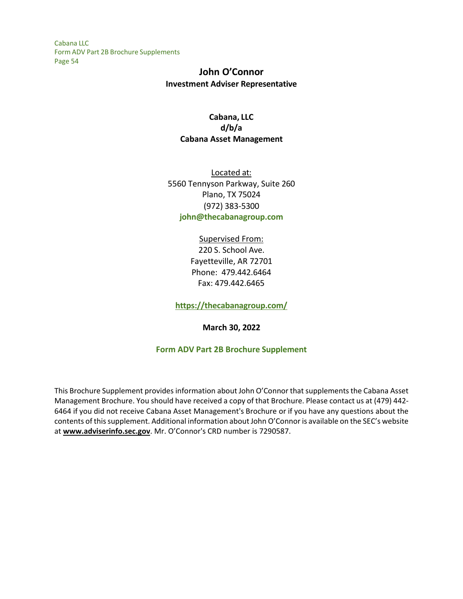# **John O'Connor Investment Adviser Representative**

## **Cabana, LLC d/b/a Cabana Asset Management**

Located at: 5560 Tennyson Parkway, Suite 260 Plano, TX 75024 (972) 383-5300 **[john@thecabanagroup.com](mailto:john@thecabanagroup.com)**

## Supervised From: 220 S. School Ave. Fayetteville, AR 72701 Phone: 479.442.6464 Fax: 479.442.6465

**<https://thecabanagroup.com/>**

**March 30, 2022**

## **Form ADV Part 2B Brochure Supplement**

This Brochure Supplement provides information about John O'Connor thatsupplementsthe Cabana Asset Management Brochure. You should have received a copy of that Brochure. Please contact us at (479) 442- 6464 if you did not receive Cabana Asset Management's Brochure or if you have any questions about the contents of thissupplement. Additional information about John O'Connor is available on the SEC's website at **[www.adviserinfo.sec.gov](http://www.adviserinfo.sec.gov/)**. Mr. O'Connor's CRD number is 7290587.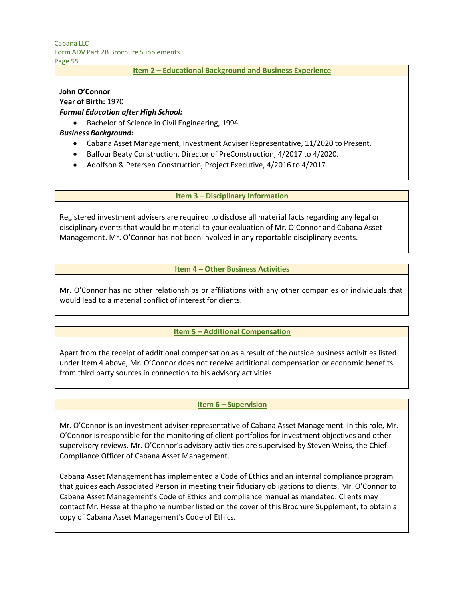Page 55

### **Item 2 – Educational Background and Business Experience**

## **John O'Connor**

**Year of Birth:** 1970

### *Formal Education after High School:*

• Bachelor of Science in Civil Engineering, 1994

## *Business Background:*

- Cabana Asset Management, Investment Adviser Representative, 11/2020 to Present.
- Balfour Beaty Construction, Director of PreConstruction, 4/2017 to 4/2020.
- Adolfson & Petersen Construction, Project Executive, 4/2016 to 4/2017.

### **Item 3 – Disciplinary Information**

Registered investment advisers are required to disclose all material facts regarding any legal or disciplinary events that would be material to your evaluation of Mr. O'Connor and Cabana Asset Management. Mr. O'Connor has not been involved in any reportable disciplinary events.

### **Item 4 – Other Business Activities**

Mr. O'Connor has no other relationships or affiliations with any other companies or individuals that would lead to a material conflict of interest for clients.

## **Item 5 – Additional Compensation**

Apart from the receipt of additional compensation as a result of the outside business activities listed under Item 4 above, Mr. O'Connor does not receive additional compensation or economic benefits from third party sources in connection to his advisory activities.

#### **Item 6 – Supervision**

Mr. O'Connor is an investment adviser representative of Cabana Asset Management. In this role, Mr. O'Connor is responsible for the monitoring of client portfolios for investment objectives and other supervisory reviews. Mr. O'Connor's advisory activities are supervised by Steven Weiss, the Chief Compliance Officer of Cabana Asset Management.

Cabana Asset Management has implemented a Code of Ethics and an internal compliance program that guides each Associated Person in meeting their fiduciary obligations to clients. Mr. O'Connor to Cabana Asset Management's Code of Ethics and compliance manual as mandated. Clients may contact Mr. Hesse at the phone number listed on the cover of this Brochure Supplement, to obtain a copy of Cabana Asset Management's Code of Ethics.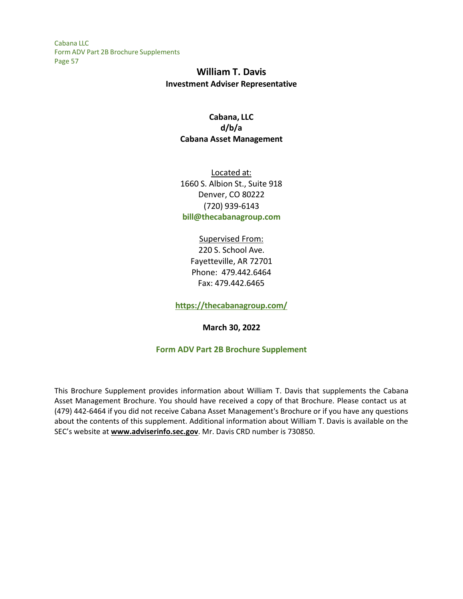# **William T. Davis Investment Adviser Representative**

## **Cabana, LLC d/b/a Cabana Asset Management**

Located at: 1660 S. Albion St., Suite 918 Denver, CO 80222 (720) 939-6143 **[bill@thecabanagroup.com](mailto:bill@thecabanagroup.com)**

## Supervised From: 220 S. School Ave. Fayetteville, AR 72701 Phone: 479.442.6464 Fax: 479.442.6465

**<https://thecabanagroup.com/>**

**March 30, 2022**

## **Form ADV Part 2B Brochure Supplement**

This Brochure Supplement provides information about William T. Davis that supplements the Cabana Asset Management Brochure. You should have received a copy of that Brochure. Please contact us at (479) 442-6464 if you did not receive Cabana Asset Management's Brochure or if you have any questions about the contents of this supplement. Additional information about William T. Davis is available on the SEC's website at **[www.adviserinfo.sec.gov](http://www.adviserinfo.sec.gov/)**. Mr. Davis CRD number is 730850.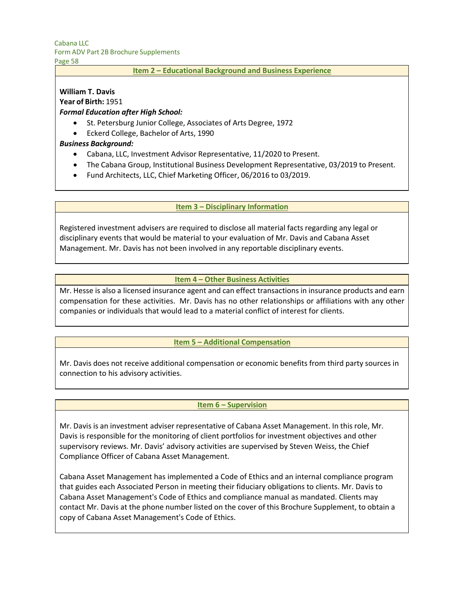Page 58

#### **Item 2 – Educational Background and Business Experience**

# **William T. Davis**

**Year of Birth:** 1951

### *Formal Education after High School:*

- St. Petersburg Junior College, Associates of Arts Degree, 1972
- Eckerd College, Bachelor of Arts, 1990

### *Business Background:*

- Cabana, LLC, Investment Advisor Representative, 11/2020 to Present.
- The Cabana Group, Institutional Business Development Representative, 03/2019 to Present.
- Fund Architects, LLC, Chief Marketing Officer, 06/2016 to 03/2019.

### **Item 3 – Disciplinary Information**

Registered investment advisers are required to disclose all material facts regarding any legal or disciplinary events that would be material to your evaluation of Mr. Davis and Cabana Asset Management. Mr. Davis has not been involved in any reportable disciplinary events.

#### **Item 4 – Other Business Activities**

Mr. Hesse is also a licensed insurance agent and can effect transactions in insurance products and earn compensation for these activities. Mr. Davis has no other relationships or affiliations with any other companies or individuals that would lead to a material conflict of interest for clients.

#### **Item 5 – Additional Compensation**

Mr. Davis does not receive additional compensation or economic benefits from third party sources in connection to his advisory activities.

#### **Item 6 – Supervision**

Mr. Davis is an investment adviser representative of Cabana Asset Management. In this role, Mr. Davis is responsible for the monitoring of client portfolios for investment objectives and other supervisory reviews. Mr. Davis' advisory activities are supervised by Steven Weiss, the Chief Compliance Officer of Cabana Asset Management.

Cabana Asset Management has implemented a Code of Ethics and an internal compliance program that guides each Associated Person in meeting their fiduciary obligations to clients. Mr. Davis to Cabana Asset Management's Code of Ethics and compliance manual as mandated. Clients may contact Mr. Davis at the phone number listed on the cover of this Brochure Supplement, to obtain a copy of Cabana Asset Management's Code of Ethics.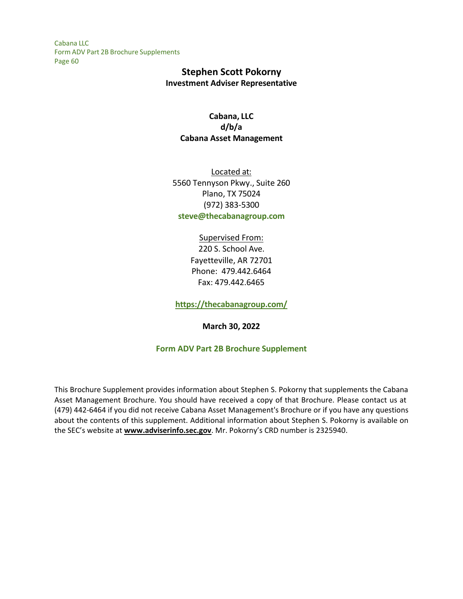## **Stephen Scott Pokorny Investment Adviser Representative**

## **Cabana, LLC d/b/a Cabana Asset Management**

Located at: 5560 Tennyson Pkwy., Suite 260 Plano, TX 75024 (972) 383-5300 **[steve@thecabanagroup.com](mailto:steve@thecabanagroup.com)**

## Supervised From: 220 S. School Ave. Fayetteville, AR 72701 Phone: 479.442.6464 Fax: 479.442.6465

**<https://thecabanagroup.com/>**

**March 30, 2022**

## **Form ADV Part 2B Brochure Supplement**

This Brochure Supplement provides information about Stephen S. Pokorny that supplements the Cabana Asset Management Brochure. You should have received a copy of that Brochure. Please contact us at (479) 442-6464 if you did not receive Cabana Asset Management's Brochure or if you have any questions about the contents of this supplement. Additional information about Stephen S. Pokorny is available on the SEC's website at **[www.adviserinfo.sec.gov](http://www.adviserinfo.sec.gov/)**. Mr. Pokorny's CRD number is 2325940.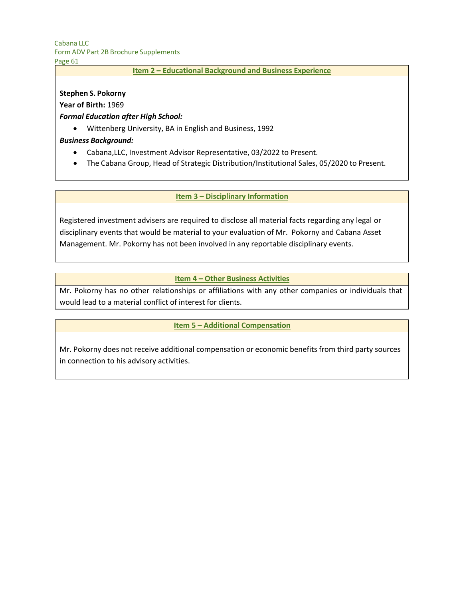Page 61

#### **Item 2 – Educational Background and Business Experience**

#### **Stephen S. Pokorny**

#### **Year of Birth:** 1969

### *Formal Education after High School:*

• Wittenberg University, BA in English and Business, 1992

### *Business Background:*

- Cabana,LLC, Investment Advisor Representative, 03/2022 to Present.
- The Cabana Group, Head of Strategic Distribution/Institutional Sales, 05/2020 to Present.

#### **Item 3 – Disciplinary Information**

Registered investment advisers are required to disclose all material facts regarding any legal or disciplinary events that would be material to your evaluation of Mr. Pokorny and Cabana Asset Management. Mr. Pokorny has not been involved in any reportable disciplinary events.

### **Item 4 – Other Business Activities**

Mr. Pokorny has no other relationships or affiliations with any other companies or individuals that would lead to a material conflict of interest for clients.

#### **Item 5 – Additional Compensation**

Mr. Pokorny does not receive additional compensation or economic benefits from third party sources in connection to his advisory activities.